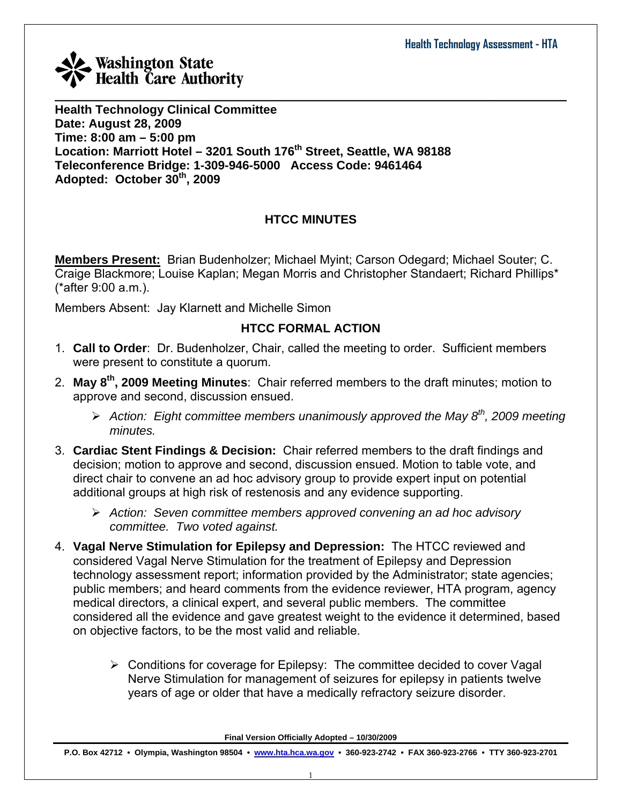**Health Technology Clinical Committee Date: August 28, 2009 Time: 8:00 am – 5:00 pm Location: Marriott Hotel – 3201 South 176th Street, Seattle, WA 98188 Teleconference Bridge: 1-309-946-5000 Access Code: 9461464 Adopted: October 30th, 2009** 

## **HTCC MINUTES**

**Members Present:** Brian Budenholzer; Michael Myint; Carson Odegard; Michael Souter; C. Craige Blackmore; Louise Kaplan; Megan Morris and Christopher Standaert; Richard Phillips\* (\*after 9:00 a.m.).

Members Absent: Jay Klarnett and Michelle Simon

## **HTCC FORMAL ACTION**

- 1. **Call to Order**: Dr. Budenholzer, Chair, called the meeting to order. Sufficient members were present to constitute a quorum.
- 2. **May 8th, 2009 Meeting Minutes**: Chair referred members to the draft minutes; motion to approve and second, discussion ensued.
	- ¾ *Action: Eight committee members unanimously approved the May 8th, 2009 meeting minutes.*
- 3. **Cardiac Stent Findings & Decision:** Chair referred members to the draft findings and decision; motion to approve and second, discussion ensued. Motion to table vote, and direct chair to convene an ad hoc advisory group to provide expert input on potential additional groups at high risk of restenosis and any evidence supporting.
	- ¾ *Action: Seven committee members approved convening an ad hoc advisory committee. Two voted against.*
- 4. **Vagal Nerve Stimulation for Epilepsy and Depression:** The HTCC reviewed and considered Vagal Nerve Stimulation for the treatment of Epilepsy and Depression technology assessment report; information provided by the Administrator; state agencies; public members; and heard comments from the evidence reviewer, HTA program, agency medical directors, a clinical expert, and several public members. The committee considered all the evidence and gave greatest weight to the evidence it determined, based on objective factors, to be the most valid and reliable.
	- $\triangleright$  Conditions for coverage for Epilepsy: The committee decided to cover Vagal Nerve Stimulation for management of seizures for epilepsy in patients twelve years of age or older that have a medically refractory seizure disorder.

**Final Version Officially Adopted – 10/30/2009**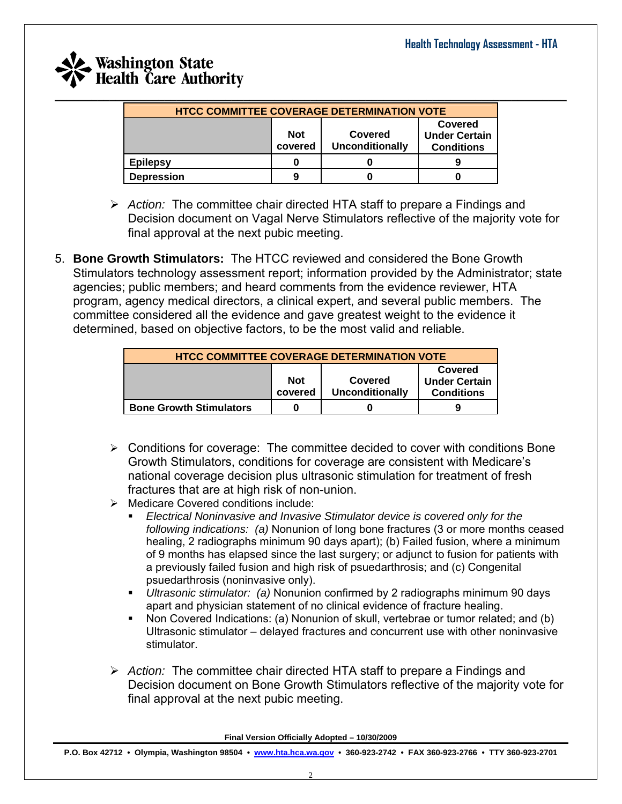| <b>HTCC COMMITTEE COVERAGE DETERMINATION VOTE</b> |                                                            |  |  |  |  |  |  |
|---------------------------------------------------|------------------------------------------------------------|--|--|--|--|--|--|
|                                                   | <b>Not</b><br>Covered<br><b>Unconditionally</b><br>covered |  |  |  |  |  |  |
| <b>Epilepsy</b>                                   |                                                            |  |  |  |  |  |  |
| <b>Depression</b>                                 | 9                                                          |  |  |  |  |  |  |

- ¾ *Action:* The committee chair directed HTA staff to prepare a Findings and Decision document on Vagal Nerve Stimulators reflective of the majority vote for final approval at the next pubic meeting.
- 5. **Bone Growth Stimulators:** The HTCC reviewed and considered the Bone Growth Stimulators technology assessment report; information provided by the Administrator; state agencies; public members; and heard comments from the evidence reviewer, HTA program, agency medical directors, a clinical expert, and several public members. The committee considered all the evidence and gave greatest weight to the evidence it determined, based on objective factors, to be the most valid and reliable.

| <b>HTCC COMMITTEE COVERAGE DETERMINATION VOTE</b>                                                                         |  |  |  |  |  |  |  |
|---------------------------------------------------------------------------------------------------------------------------|--|--|--|--|--|--|--|
| <b>Covered</b><br><b>Not</b><br><b>Under Certain</b><br>Covered<br><b>Unconditionally</b><br>covered<br><b>Conditions</b> |  |  |  |  |  |  |  |
| <b>Bone Growth Stimulators</b>                                                                                            |  |  |  |  |  |  |  |

- $\triangleright$  Conditions for coverage: The committee decided to cover with conditions Bone Growth Stimulators, conditions for coverage are consistent with Medicare's national coverage decision plus ultrasonic stimulation for treatment of fresh fractures that are at high risk of non-union.
- ¾ Medicare Covered conditions include:
	- *Electrical Noninvasive and Invasive Stimulator device is covered only for the following indications: (a)* Nonunion of long bone fractures (3 or more months ceased healing, 2 radiographs minimum 90 days apart); (b) Failed fusion, where a minimum of 9 months has elapsed since the last surgery; or adjunct to fusion for patients with a previously failed fusion and high risk of psuedarthrosis; and (c) Congenital psuedarthrosis (noninvasive only).
	- *Ultrasonic stimulator: (a)* Nonunion confirmed by 2 radiographs minimum 90 days apart and physician statement of no clinical evidence of fracture healing.
	- Non Covered Indications: (a) Nonunion of skull, vertebrae or tumor related; and (b) Ultrasonic stimulator – delayed fractures and concurrent use with other noninvasive stimulator.
- ¾ *Action:* The committee chair directed HTA staff to prepare a Findings and Decision document on Bone Growth Stimulators reflective of the majority vote for final approval at the next pubic meeting.

**Final Version Officially Adopted – 10/30/2009**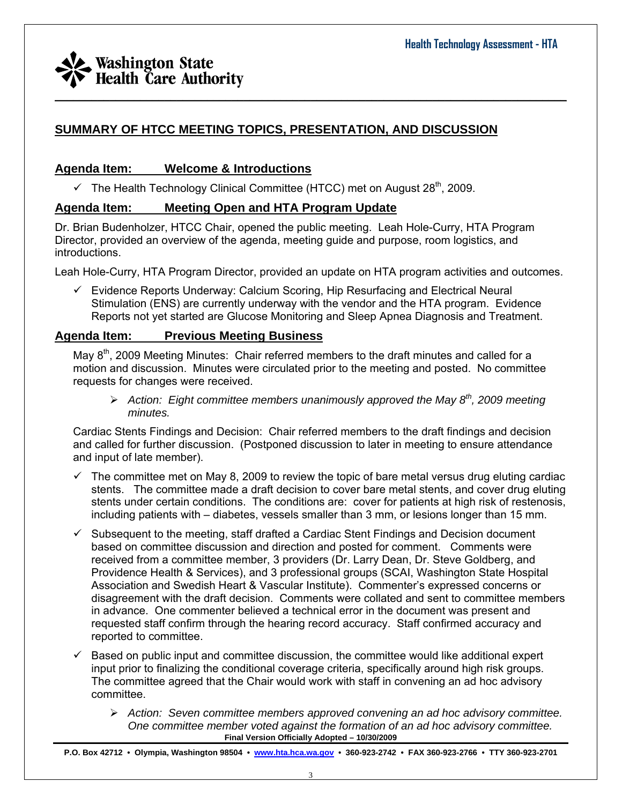## **SUMMARY OF HTCC MEETING TOPICS, PRESENTATION, AND DISCUSSION**

### **Agenda Item: Welcome & Introductions**

 $\checkmark$  The Health Technology Clinical Committee (HTCC) met on August 28<sup>th</sup>, 2009.

### **Agenda Item: Meeting Open and HTA Program Update**

Dr. Brian Budenholzer, HTCC Chair, opened the public meeting. Leah Hole-Curry, HTA Program Director, provided an overview of the agenda, meeting guide and purpose, room logistics, and introductions.

Leah Hole-Curry, HTA Program Director, provided an update on HTA program activities and outcomes.

 $\_$  , and the set of the set of the set of the set of the set of the set of the set of the set of the set of the set of the set of the set of the set of the set of the set of the set of the set of the set of the set of th

 $\checkmark$  Evidence Reports Underway: Calcium Scoring, Hip Resurfacing and Electrical Neural Stimulation (ENS) are currently underway with the vendor and the HTA program. Evidence Reports not yet started are Glucose Monitoring and Sleep Apnea Diagnosis and Treatment.

### **Agenda Item: Previous Meeting Business**

May 8<sup>th</sup>, 2009 Meeting Minutes: Chair referred members to the draft minutes and called for a motion and discussion. Minutes were circulated prior to the meeting and posted. No committee requests for changes were received.

¾ *Action: Eight committee members unanimously approved the May 8th, 2009 meeting minutes.* 

Cardiac Stents Findings and Decision:Chair referred members to the draft findings and decision and called for further discussion. (Postponed discussion to later in meeting to ensure attendance and input of late member).

- $\checkmark$  The committee met on May 8, 2009 to review the topic of bare metal versus drug eluting cardiac stents. The committee made a draft decision to cover bare metal stents, and cover drug eluting stents under certain conditions. The conditions are: cover for patients at high risk of restenosis, including patients with – diabetes, vessels smaller than 3 mm, or lesions longer than 15 mm.
- Subsequent to the meeting, staff drafted a Cardiac Stent Findings and Decision document based on committee discussion and direction and posted for comment. Comments were received from a committee member, 3 providers (Dr. Larry Dean, Dr. Steve Goldberg, and Providence Health & Services), and 3 professional groups (SCAI, Washington State Hospital Association and Swedish Heart & Vascular Institute). Commenter's expressed concerns or disagreement with the draft decision. Comments were collated and sent to committee members in advance. One commenter believed a technical error in the document was present and requested staff confirm through the hearing record accuracy. Staff confirmed accuracy and reported to committee.
- $\checkmark$  Based on public input and committee discussion, the committee would like additional expert input prior to finalizing the conditional coverage criteria, specifically around high risk groups. The committee agreed that the Chair would work with staff in convening an ad hoc advisory committee.
	- **Final Version Officially Adopted 10/30/2009**  ¾ *Action: Seven committee members approved convening an ad hoc advisory committee. One committee member voted against the formation of an ad hoc advisory committee.*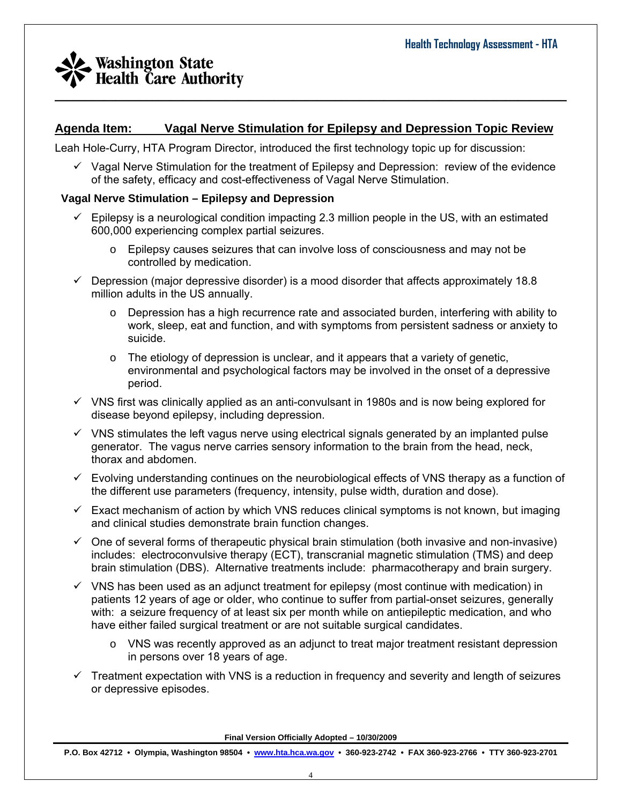## **Agenda Item: Vagal Nerve Stimulation for Epilepsy and Depression Topic Review**

 $\_$  , and the set of the set of the set of the set of the set of the set of the set of the set of the set of the set of the set of the set of the set of the set of the set of the set of the set of the set of the set of th

Leah Hole-Curry, HTA Program Director, introduced the first technology topic up for discussion:

 $\checkmark$  Vagal Nerve Stimulation for the treatment of Epilepsy and Depression: review of the evidence of the safety, efficacy and cost-effectiveness of Vagal Nerve Stimulation.

#### **Vagal Nerve Stimulation – Epilepsy and Depression**

- $\checkmark$  Epilepsy is a neurological condition impacting 2.3 million people in the US, with an estimated 600,000 experiencing complex partial seizures.
	- $\circ$  Epilepsy causes seizures that can involve loss of consciousness and may not be controlled by medication.
- $\checkmark$  Depression (major depressive disorder) is a mood disorder that affects approximately 18.8 million adults in the US annually.
	- $\circ$  Depression has a high recurrence rate and associated burden, interfering with ability to work, sleep, eat and function, and with symptoms from persistent sadness or anxiety to suicide.
	- $\circ$  The etiology of depression is unclear, and it appears that a variety of genetic, environmental and psychological factors may be involved in the onset of a depressive period.
- $\checkmark$  VNS first was clinically applied as an anti-convulsant in 1980s and is now being explored for disease beyond epilepsy, including depression.
- $\checkmark$  VNS stimulates the left vagus nerve using electrical signals generated by an implanted pulse generator. The vagus nerve carries sensory information to the brain from the head, neck, thorax and abdomen.
- $\checkmark$  Evolving understanding continues on the neurobiological effects of VNS therapy as a function of the different use parameters (frequency, intensity, pulse width, duration and dose).
- $\checkmark$  Exact mechanism of action by which VNS reduces clinical symptoms is not known, but imaging and clinical studies demonstrate brain function changes.
- $\checkmark$  One of several forms of therapeutic physical brain stimulation (both invasive and non-invasive) includes: electroconvulsive therapy (ECT), transcranial magnetic stimulation (TMS) and deep brain stimulation (DBS). Alternative treatments include: pharmacotherapy and brain surgery.
- $\checkmark$  VNS has been used as an adjunct treatment for epilepsy (most continue with medication) in patients 12 years of age or older, who continue to suffer from partial-onset seizures, generally with: a seizure frequency of at least six per month while on antiepileptic medication, and who have either failed surgical treatment or are not suitable surgical candidates.
	- $\circ$  VNS was recently approved as an adjunct to treat major treatment resistant depression in persons over 18 years of age.
- $\checkmark$  Treatment expectation with VNS is a reduction in frequency and severity and length of seizures or depressive episodes.

**Final Version Officially Adopted – 10/30/2009**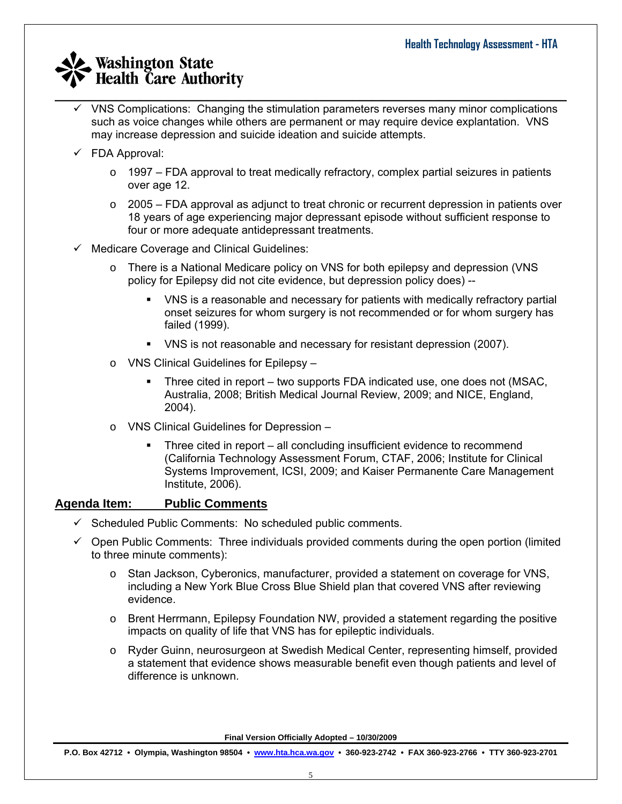$\checkmark$  VNS Complications: Changing the stimulation parameters reverses many minor complications such as voice changes while others are permanent or may require device explantation. VNS may increase depression and suicide ideation and suicide attempts.

 $\_$  , and the set of the set of the set of the set of the set of the set of the set of the set of the set of the set of the set of the set of the set of the set of the set of the set of the set of the set of the set of th

- $\checkmark$  FDA Approval:
	- o 1997 FDA approval to treat medically refractory, complex partial seizures in patients over age 12.
	- $\circ$  2005 FDA approval as adjunct to treat chronic or recurrent depression in patients over 18 years of age experiencing major depressant episode without sufficient response to four or more adequate antidepressant treatments.
- $\checkmark$  Medicare Coverage and Clinical Guidelines:
	- o There is a National Medicare policy on VNS for both epilepsy and depression (VNS policy for Epilepsy did not cite evidence, but depression policy does) --
		- VNS is a reasonable and necessary for patients with medically refractory partial onset seizures for whom surgery is not recommended or for whom surgery has failed (1999).
		- VNS is not reasonable and necessary for resistant depression (2007).
	- o VNS Clinical Guidelines for Epilepsy
		- Three cited in report two supports FDA indicated use, one does not (MSAC, Australia, 2008; British Medical Journal Review, 2009; and NICE, England, 2004).
	- o VNS Clinical Guidelines for Depression
		- Three cited in report all concluding insufficient evidence to recommend (California Technology Assessment Forum, CTAF, 2006; Institute for Clinical Systems Improvement, ICSI, 2009; and Kaiser Permanente Care Management Institute, 2006).

### **Agenda Item: Public Comments**

- $\checkmark$  Scheduled Public Comments: No scheduled public comments.
- $\checkmark$  Open Public Comments: Three individuals provided comments during the open portion (limited to three minute comments):
	- o Stan Jackson, Cyberonics, manufacturer, provided a statement on coverage for VNS, including a New York Blue Cross Blue Shield plan that covered VNS after reviewing evidence.
	- $\circ$  Brent Herrmann, Epilepsy Foundation NW, provided a statement regarding the positive impacts on quality of life that VNS has for epileptic individuals.
	- o Ryder Guinn, neurosurgeon at Swedish Medical Center, representing himself, provided a statement that evidence shows measurable benefit even though patients and level of difference is unknown.

**Final Version Officially Adopted – 10/30/2009**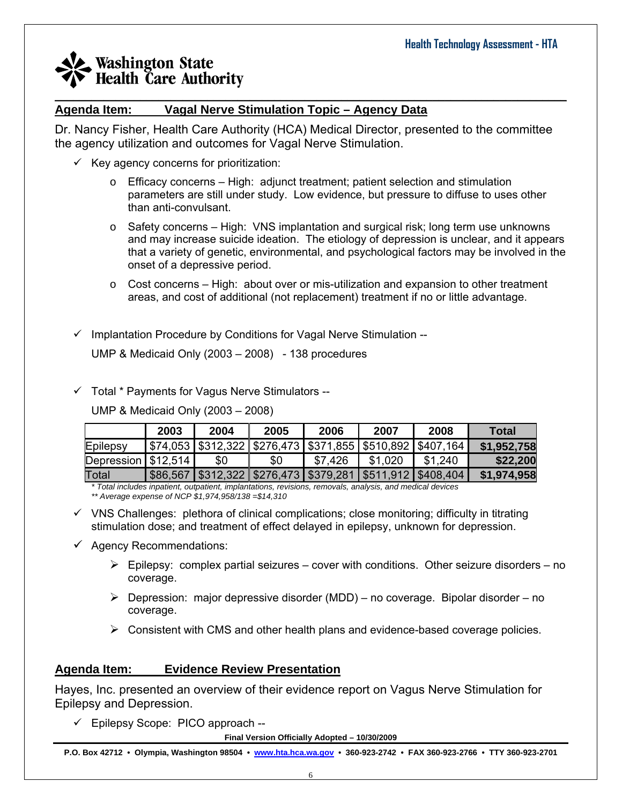#### $\_$  , and the set of the set of the set of the set of the set of the set of the set of the set of the set of the set of the set of the set of the set of the set of the set of the set of the set of the set of the set of th **Agenda Item: Vagal Nerve Stimulation Topic – Agency Data**

Dr. Nancy Fisher, Health Care Authority (HCA) Medical Director, presented to the committee the agency utilization and outcomes for Vagal Nerve Stimulation.

- $\checkmark$  Key agency concerns for prioritization:
	- $\circ$  Efficacy concerns High: adjunct treatment; patient selection and stimulation parameters are still under study. Low evidence, but pressure to diffuse to uses other than anti-convulsant.
	- $\circ$  Safety concerns High: VNS implantation and surgical risk; long term use unknowns and may increase suicide ideation. The etiology of depression is unclear, and it appears that a variety of genetic, environmental, and psychological factors may be involved in the onset of a depressive period.
	- $\circ$  Cost concerns High: about over or mis-utilization and expansion to other treatment areas, and cost of additional (not replacement) treatment if no or little advantage.
- $\checkmark$  Implantation Procedure by Conditions for Vagal Nerve Stimulation --

UMP & Medicaid Only (2003 – 2008) - 138 procedures

 $\checkmark$  Total \* Payments for Vagus Nerve Stimulators --

UMP & Medicaid Only (2003 – 2008)

|                          | 2003 | 2004 | 2005                                                                 | 2006    | 2007    | 2008                                                                 | <b>Total</b> |
|--------------------------|------|------|----------------------------------------------------------------------|---------|---------|----------------------------------------------------------------------|--------------|
| Epilepsy                 |      |      |                                                                      |         |         | \$74,053   \$312,322   \$276,473   \$371,855   \$510,892   \$407,164 | \$1,952,758  |
| Depression $  $12,514  $ |      | \$0  | \$0                                                                  | \$7,426 | \$1,020 | \$1,240                                                              | \$22,200     |
| Total                    |      |      | \$86,567   \$312,322   \$276,473   \$379,281   \$511,912   \$408,404 |         |         |                                                                      | \$1,974,958  |

*\* Total includes inpatient, outpatient, implantations, revisions, removals, analysis, and medical devices \*\* Average expense of NCP \$1,974,958/138 =\$14,310*

- $\checkmark$  VNS Challenges: plethora of clinical complications; close monitoring; difficulty in titrating stimulation dose; and treatment of effect delayed in epilepsy, unknown for depression.
- $\checkmark$  Agency Recommendations:
	- $\triangleright$  Epilepsy: complex partial seizures cover with conditions. Other seizure disorders no coverage.
	- $\triangleright$  Depression: major depressive disorder (MDD) no coverage. Bipolar disorder no coverage.
	- $\triangleright$  Consistent with CMS and other health plans and evidence-based coverage policies.

## **Agenda Item: Evidence Review Presentation**

Hayes, Inc. presented an overview of their evidence report on Vagus Nerve Stimulation for Epilepsy and Depression.

 $\checkmark$  Epilepsy Scope: PICO approach --

**Final Version Officially Adopted – 10/30/2009**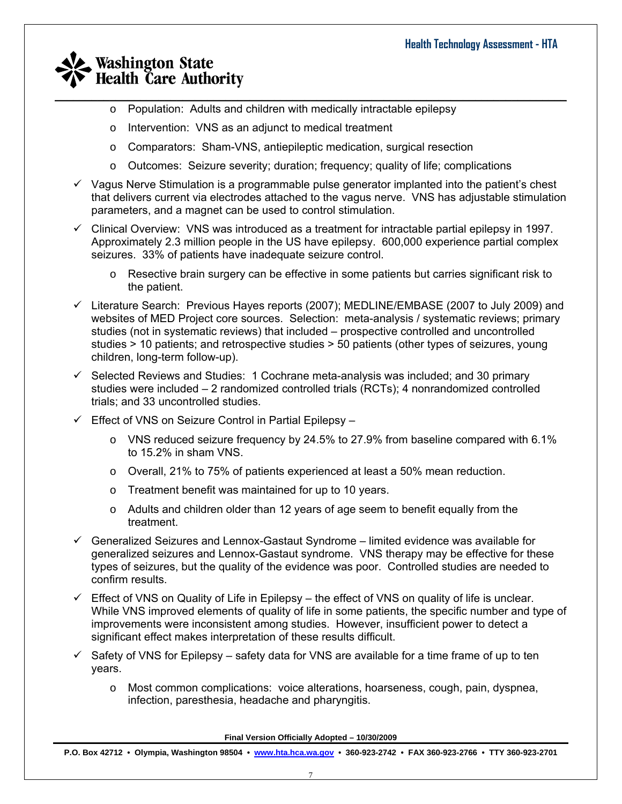- $\_$  , and the set of the set of the set of the set of the set of the set of the set of the set of the set of the set of the set of the set of the set of the set of the set of the set of the set of the set of the set of th o Population: Adults and children with medically intractable epilepsy
	- o Intervention: VNS as an adjunct to medical treatment
	- o Comparators: Sham-VNS, antiepileptic medication, surgical resection
	- o Outcomes: Seizure severity; duration; frequency; quality of life; complications
	- $\checkmark$  Vagus Nerve Stimulation is a programmable pulse generator implanted into the patient's chest that delivers current via electrodes attached to the vagus nerve. VNS has adjustable stimulation parameters, and a magnet can be used to control stimulation.
	- $\checkmark$  Clinical Overview: VNS was introduced as a treatment for intractable partial epilepsy in 1997. Approximately 2.3 million people in the US have epilepsy. 600,000 experience partial complex seizures. 33% of patients have inadequate seizure control.
		- o Resective brain surgery can be effective in some patients but carries significant risk to the patient.
	- $\checkmark$  Literature Search: Previous Hayes reports (2007); MEDLINE/EMBASE (2007 to July 2009) and websites of MED Project core sources. Selection: meta-analysis / systematic reviews; primary studies (not in systematic reviews) that included – prospective controlled and uncontrolled studies > 10 patients; and retrospective studies > 50 patients (other types of seizures, young children, long-term follow-up).
	- $\checkmark$  Selected Reviews and Studies: 1 Cochrane meta-analysis was included; and 30 primary studies were included – 2 randomized controlled trials (RCTs); 4 nonrandomized controlled trials; and 33 uncontrolled studies.
	- $\checkmark$  Effect of VNS on Seizure Control in Partial Epilepsy
		- $\circ$  VNS reduced seizure frequency by 24.5% to 27.9% from baseline compared with 6.1% to 15.2% in sham VNS.
		- o Overall, 21% to 75% of patients experienced at least a 50% mean reduction.
		- o Treatment benefit was maintained for up to 10 years.
		- $\circ$  Adults and children older than 12 years of age seem to benefit equally from the treatment.
	- $\checkmark$  Generalized Seizures and Lennox-Gastaut Syndrome limited evidence was available for generalized seizures and Lennox-Gastaut syndrome. VNS therapy may be effective for these types of seizures, but the quality of the evidence was poor. Controlled studies are needed to confirm results.
	- $\checkmark$  Effect of VNS on Quality of Life in Epilepsy the effect of VNS on quality of life is unclear. While VNS improved elements of quality of life in some patients, the specific number and type of improvements were inconsistent among studies. However, insufficient power to detect a significant effect makes interpretation of these results difficult.
	- $\checkmark$  Safety of VNS for Epilepsy safety data for VNS are available for a time frame of up to ten years.
		- o Most common complications: voice alterations, hoarseness, cough, pain, dyspnea, infection, paresthesia, headache and pharyngitis.

**Final Version Officially Adopted – 10/30/2009**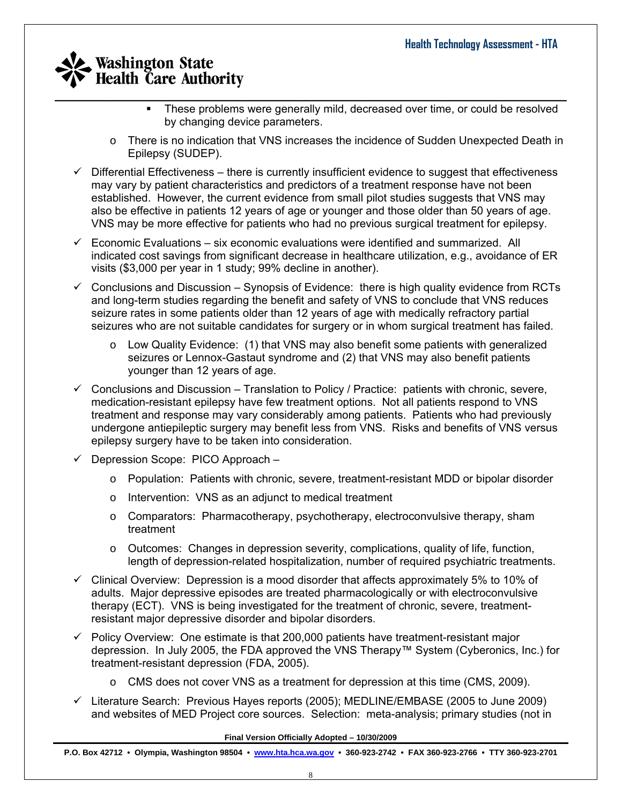- $\_$  , and the set of the set of the set of the set of the set of the set of the set of the set of the set of the set of the set of the set of the set of the set of the set of the set of the set of the set of the set of th • These problems were generally mild, decreased over time, or could be resolved by changing device parameters.
	- o There is no indication that VNS increases the incidence of Sudden Unexpected Death in Epilepsy (SUDEP).
	- $\checkmark$  Differential Effectiveness there is currently insufficient evidence to suggest that effectiveness may vary by patient characteristics and predictors of a treatment response have not been established. However, the current evidence from small pilot studies suggests that VNS may also be effective in patients 12 years of age or younger and those older than 50 years of age. VNS may be more effective for patients who had no previous surgical treatment for epilepsy.
	- $\checkmark$  Economic Evaluations six economic evaluations were identified and summarized. All indicated cost savings from significant decrease in healthcare utilization, e.g., avoidance of ER visits (\$3,000 per year in 1 study; 99% decline in another).
	- $\checkmark$  Conclusions and Discussion Synopsis of Evidence: there is high quality evidence from RCTs and long-term studies regarding the benefit and safety of VNS to conclude that VNS reduces seizure rates in some patients older than 12 years of age with medically refractory partial seizures who are not suitable candidates for surgery or in whom surgical treatment has failed.
		- $\circ$  Low Quality Evidence: (1) that VNS may also benefit some patients with generalized seizures or Lennox-Gastaut syndrome and (2) that VNS may also benefit patients younger than 12 years of age.
	- $\checkmark$  Conclusions and Discussion Translation to Policy / Practice: patients with chronic, severe, medication-resistant epilepsy have few treatment options. Not all patients respond to VNS treatment and response may vary considerably among patients. Patients who had previously undergone antiepileptic surgery may benefit less from VNS. Risks and benefits of VNS versus epilepsy surgery have to be taken into consideration.
	- $\checkmark$  Depression Scope: PICO Approach
		- o Population: Patients with chronic, severe, treatment-resistant MDD or bipolar disorder
		- o Intervention: VNS as an adjunct to medical treatment
		- o Comparators: Pharmacotherapy, psychotherapy, electroconvulsive therapy, sham treatment
		- $\circ$  Outcomes: Changes in depression severity, complications, quality of life, function, length of depression-related hospitalization, number of required psychiatric treatments.
	- $\checkmark$  Clinical Overview: Depression is a mood disorder that affects approximately 5% to 10% of adults. Major depressive episodes are treated pharmacologically or with electroconvulsive therapy (ECT). VNS is being investigated for the treatment of chronic, severe, treatmentresistant major depressive disorder and bipolar disorders.
	- $\checkmark$  Policy Overview: One estimate is that 200,000 patients have treatment-resistant major depression. In July 2005, the FDA approved the VNS Therapy™ System (Cyberonics, Inc.) for treatment-resistant depression (FDA, 2005).
		- o CMS does not cover VNS as a treatment for depression at this time (CMS, 2009).
	- $\checkmark$  Literature Search: Previous Hayes reports (2005); MEDLINE/EMBASE (2005 to June 2009) and websites of MED Project core sources. Selection: meta-analysis; primary studies (not in

#### **Final Version Officially Adopted – 10/30/2009**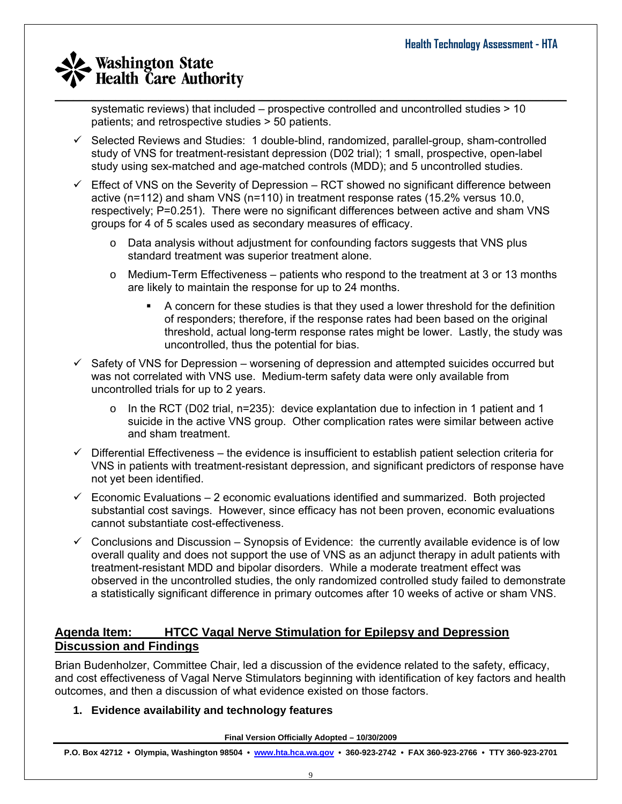$\_$  , and the set of the set of the set of the set of the set of the set of the set of the set of the set of the set of the set of the set of the set of the set of the set of the set of the set of the set of the set of th systematic reviews) that included – prospective controlled and uncontrolled studies > 10 patients; and retrospective studies > 50 patients.

- $\checkmark$  Selected Reviews and Studies: 1 double-blind, randomized, parallel-group, sham-controlled study of VNS for treatment-resistant depression (D02 trial); 1 small, prospective, open-label study using sex-matched and age-matched controls (MDD); and 5 uncontrolled studies.
- $\checkmark$  Effect of VNS on the Severity of Depression RCT showed no significant difference between active (n=112) and sham VNS (n=110) in treatment response rates (15.2% versus 10.0, respectively; P=0.251). There were no significant differences between active and sham VNS groups for 4 of 5 scales used as secondary measures of efficacy.
	- $\circ$  Data analysis without adjustment for confounding factors suggests that VNS plus standard treatment was superior treatment alone.
	- $\circ$  Medium-Term Effectiveness patients who respond to the treatment at 3 or 13 months are likely to maintain the response for up to 24 months.
		- A concern for these studies is that they used a lower threshold for the definition of responders; therefore, if the response rates had been based on the original threshold, actual long-term response rates might be lower. Lastly, the study was uncontrolled, thus the potential for bias.
- $\checkmark$  Safety of VNS for Depression worsening of depression and attempted suicides occurred but was not correlated with VNS use. Medium-term safety data were only available from uncontrolled trials for up to 2 years.
	- $\circ$  In the RCT (D02 trial, n=235): device explantation due to infection in 1 patient and 1 suicide in the active VNS group. Other complication rates were similar between active and sham treatment.
- $\checkmark$  Differential Effectiveness the evidence is insufficient to establish patient selection criteria for VNS in patients with treatment-resistant depression, and significant predictors of response have not yet been identified.
- $\checkmark$  Economic Evaluations 2 economic evaluations identified and summarized. Both projected substantial cost savings. However, since efficacy has not been proven, economic evaluations cannot substantiate cost-effectiveness.
- $\checkmark$  Conclusions and Discussion Synopsis of Evidence: the currently available evidence is of low overall quality and does not support the use of VNS as an adjunct therapy in adult patients with treatment-resistant MDD and bipolar disorders. While a moderate treatment effect was observed in the uncontrolled studies, the only randomized controlled study failed to demonstrate a statistically significant difference in primary outcomes after 10 weeks of active or sham VNS.

### **Agenda Item: HTCC Vagal Nerve Stimulation for Epilepsy and Depression Discussion and Findings**

Brian Budenholzer, Committee Chair, led a discussion of the evidence related to the safety, efficacy, and cost effectiveness of Vagal Nerve Stimulators beginning with identification of key factors and health outcomes, and then a discussion of what evidence existed on those factors.

### **1. Evidence availability and technology features**

**Final Version Officially Adopted – 10/30/2009**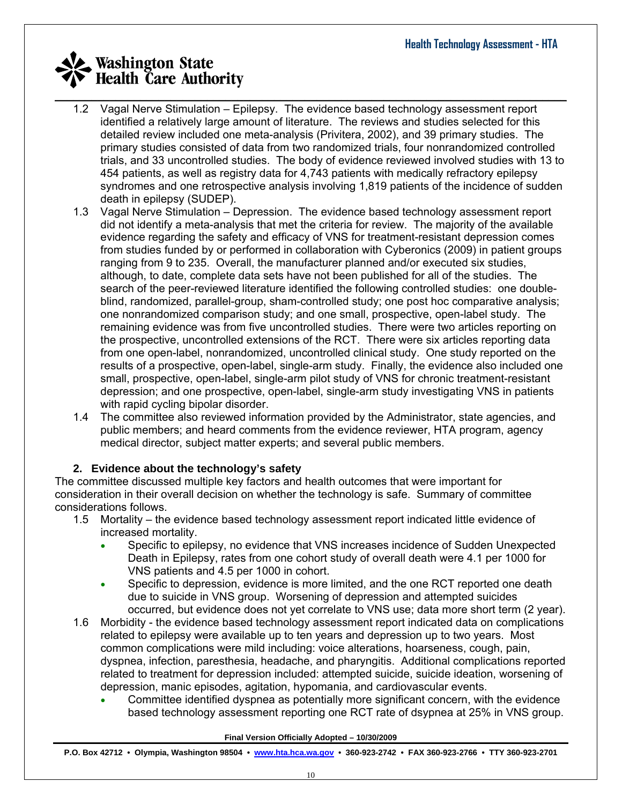- $\_$  , and the set of the set of the set of the set of the set of the set of the set of the set of the set of the set of the set of the set of the set of the set of the set of the set of the set of the set of the set of th 1.2 Vagal Nerve Stimulation – Epilepsy. The evidence based technology assessment report identified a relatively large amount of literature. The reviews and studies selected for this detailed review included one meta-analysis (Privitera, 2002), and 39 primary studies. The primary studies consisted of data from two randomized trials, four nonrandomized controlled trials, and 33 uncontrolled studies. The body of evidence reviewed involved studies with 13 to 454 patients, as well as registry data for 4,743 patients with medically refractory epilepsy syndromes and one retrospective analysis involving 1,819 patients of the incidence of sudden death in epilepsy (SUDEP).
	- 1.3 Vagal Nerve Stimulation Depression. The evidence based technology assessment report did not identify a meta-analysis that met the criteria for review. The majority of the available evidence regarding the safety and efficacy of VNS for treatment-resistant depression comes from studies funded by or performed in collaboration with Cyberonics (2009) in patient groups ranging from 9 to 235. Overall, the manufacturer planned and/or executed six studies, although, to date, complete data sets have not been published for all of the studies. The search of the peer-reviewed literature identified the following controlled studies: one doubleblind, randomized, parallel-group, sham-controlled study; one post hoc comparative analysis; one nonrandomized comparison study; and one small, prospective, open-label study. The remaining evidence was from five uncontrolled studies. There were two articles reporting on the prospective, uncontrolled extensions of the RCT. There were six articles reporting data from one open-label, nonrandomized, uncontrolled clinical study. One study reported on the results of a prospective, open-label, single-arm study. Finally, the evidence also included one small, prospective, open-label, single-arm pilot study of VNS for chronic treatment-resistant depression; and one prospective, open-label, single-arm study investigating VNS in patients with rapid cycling bipolar disorder.
	- 1.4 The committee also reviewed information provided by the Administrator, state agencies, and public members; and heard comments from the evidence reviewer, HTA program, agency medical director, subject matter experts; and several public members.

### **2. Evidence about the technology's safety**

The committee discussed multiple key factors and health outcomes that were important for consideration in their overall decision on whether the technology is safe. Summary of committee considerations follows.

- 1.5 Mortality the evidence based technology assessment report indicated little evidence of increased mortality.
	- Specific to epilepsy, no evidence that VNS increases incidence of Sudden Unexpected Death in Epilepsy, rates from one cohort study of overall death were 4.1 per 1000 for VNS patients and 4.5 per 1000 in cohort.
	- Specific to depression, evidence is more limited, and the one RCT reported one death due to suicide in VNS group. Worsening of depression and attempted suicides occurred, but evidence does not yet correlate to VNS use; data more short term (2 year).
- 1.6 Morbidity the evidence based technology assessment report indicated data on complications related to epilepsy were available up to ten years and depression up to two years. Most common complications were mild including: voice alterations, hoarseness, cough, pain, dyspnea, infection, paresthesia, headache, and pharyngitis. Additional complications reported related to treatment for depression included: attempted suicide, suicide ideation, worsening of depression, manic episodes, agitation, hypomania, and cardiovascular events.
	- Committee identified dyspnea as potentially more significant concern, with the evidence based technology assessment reporting one RCT rate of dsypnea at 25% in VNS group.

#### **Final Version Officially Adopted – 10/30/2009**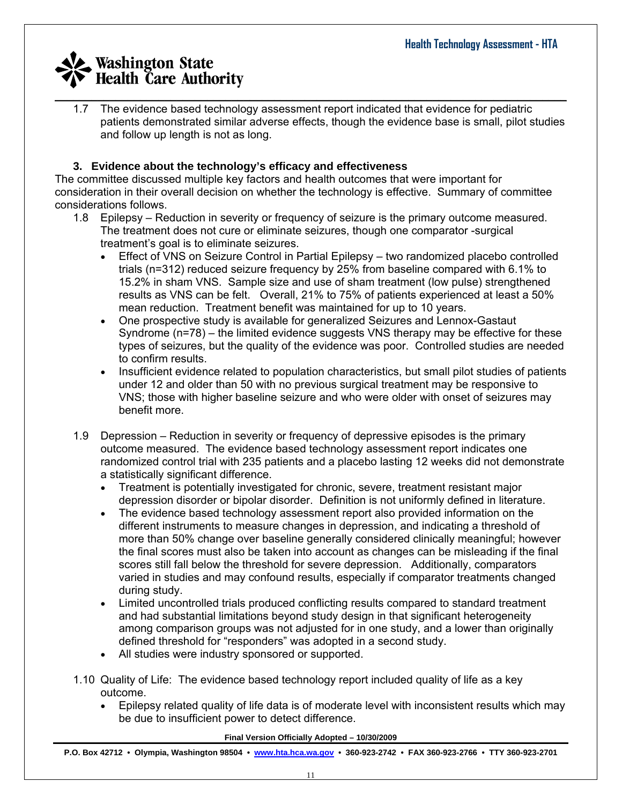$\_$  , and the set of the set of the set of the set of the set of the set of the set of the set of the set of the set of the set of the set of the set of the set of the set of the set of the set of the set of the set of th 1.7 The evidence based technology assessment report indicated that evidence for pediatric patients demonstrated similar adverse effects, though the evidence base is small, pilot studies and follow up length is not as long.

### **3. Evidence about the technology's efficacy and effectiveness**

The committee discussed multiple key factors and health outcomes that were important for consideration in their overall decision on whether the technology is effective. Summary of committee considerations follows.

- 1.8 Epilepsy Reduction in severity or frequency of seizure is the primary outcome measured. The treatment does not cure or eliminate seizures, though one comparator -surgical treatment's goal is to eliminate seizures.
	- Effect of VNS on Seizure Control in Partial Epilepsy two randomized placebo controlled trials (n=312) reduced seizure frequency by 25% from baseline compared with 6.1% to 15.2% in sham VNS. Sample size and use of sham treatment (low pulse) strengthened results as VNS can be felt. Overall, 21% to 75% of patients experienced at least a 50% mean reduction. Treatment benefit was maintained for up to 10 years.
	- One prospective study is available for generalized Seizures and Lennox-Gastaut Syndrome (n=78) – the limited evidence suggests VNS therapy may be effective for these types of seizures, but the quality of the evidence was poor. Controlled studies are needed to confirm results.
	- Insufficient evidence related to population characteristics, but small pilot studies of patients under 12 and older than 50 with no previous surgical treatment may be responsive to VNS; those with higher baseline seizure and who were older with onset of seizures may benefit more.
- 1.9 Depression Reduction in severity or frequency of depressive episodes is the primary outcome measured. The evidence based technology assessment report indicates one randomized control trial with 235 patients and a placebo lasting 12 weeks did not demonstrate a statistically significant difference.
	- Treatment is potentially investigated for chronic, severe, treatment resistant major depression disorder or bipolar disorder. Definition is not uniformly defined in literature.
	- The evidence based technology assessment report also provided information on the different instruments to measure changes in depression, and indicating a threshold of more than 50% change over baseline generally considered clinically meaningful; however the final scores must also be taken into account as changes can be misleading if the final scores still fall below the threshold for severe depression. Additionally, comparators varied in studies and may confound results, especially if comparator treatments changed during study.
	- Limited uncontrolled trials produced conflicting results compared to standard treatment and had substantial limitations beyond study design in that significant heterogeneity among comparison groups was not adjusted for in one study, and a lower than originally defined threshold for "responders" was adopted in a second study.
	- All studies were industry sponsored or supported.
- 1.10 Quality of Life: The evidence based technology report included quality of life as a key outcome.
	- Epilepsy related quality of life data is of moderate level with inconsistent results which may be due to insufficient power to detect difference.

#### **Final Version Officially Adopted – 10/30/2009**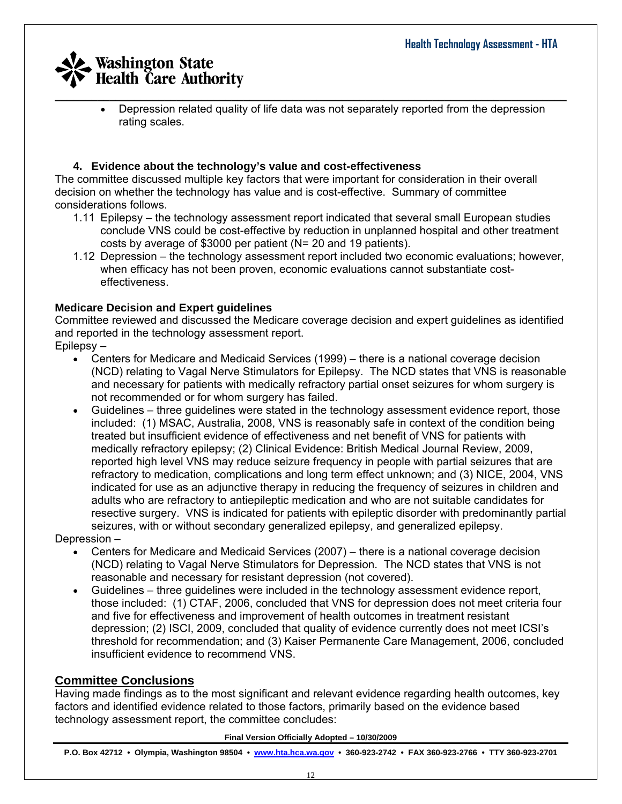$\_$  , and the set of the set of the set of the set of the set of the set of the set of the set of the set of the set of the set of the set of the set of the set of the set of the set of the set of the set of the set of th • Depression related quality of life data was not separately reported from the depression rating scales.

### **4. Evidence about the technology's value and cost-effectiveness**

The committee discussed multiple key factors that were important for consideration in their overall decision on whether the technology has value and is cost-effective. Summary of committee considerations follows.

- 1.11 Epilepsy the technology assessment report indicated that several small European studies conclude VNS could be cost-effective by reduction in unplanned hospital and other treatment costs by average of \$3000 per patient (N= 20 and 19 patients).
- 1.12 Depression the technology assessment report included two economic evaluations; however, when efficacy has not been proven, economic evaluations cannot substantiate costeffectiveness.

### **Medicare Decision and Expert guidelines**

Committee reviewed and discussed the Medicare coverage decision and expert guidelines as identified and reported in the technology assessment report.

Epilepsy –

- Centers for Medicare and Medicaid Services (1999) there is a national coverage decision (NCD) relating to Vagal Nerve Stimulators for Epilepsy. The NCD states that VNS is reasonable and necessary for patients with medically refractory partial onset seizures for whom surgery is not recommended or for whom surgery has failed.
- Guidelines three guidelines were stated in the technology assessment evidence report, those included: (1) MSAC, Australia, 2008, VNS is reasonably safe in context of the condition being treated but insufficient evidence of effectiveness and net benefit of VNS for patients with medically refractory epilepsy; (2) Clinical Evidence: British Medical Journal Review, 2009, reported high level VNS may reduce seizure frequency in people with partial seizures that are refractory to medication, complications and long term effect unknown; and (3) NICE, 2004, VNS indicated for use as an adjunctive therapy in reducing the frequency of seizures in children and adults who are refractory to antiepileptic medication and who are not suitable candidates for resective surgery. VNS is indicated for patients with epileptic disorder with predominantly partial seizures, with or without secondary generalized epilepsy, and generalized epilepsy.

Depression –

- Centers for Medicare and Medicaid Services (2007) there is a national coverage decision (NCD) relating to Vagal Nerve Stimulators for Depression. The NCD states that VNS is not reasonable and necessary for resistant depression (not covered).
- Guidelines three guidelines were included in the technology assessment evidence report, those included: (1) CTAF, 2006, concluded that VNS for depression does not meet criteria four and five for effectiveness and improvement of health outcomes in treatment resistant depression; (2) ISCI, 2009, concluded that quality of evidence currently does not meet ICSI's threshold for recommendation; and (3) Kaiser Permanente Care Management, 2006, concluded insufficient evidence to recommend VNS.

### **Committee Conclusions**

Having made findings as to the most significant and relevant evidence regarding health outcomes, key factors and identified evidence related to those factors, primarily based on the evidence based technology assessment report, the committee concludes:

#### **Final Version Officially Adopted – 10/30/2009**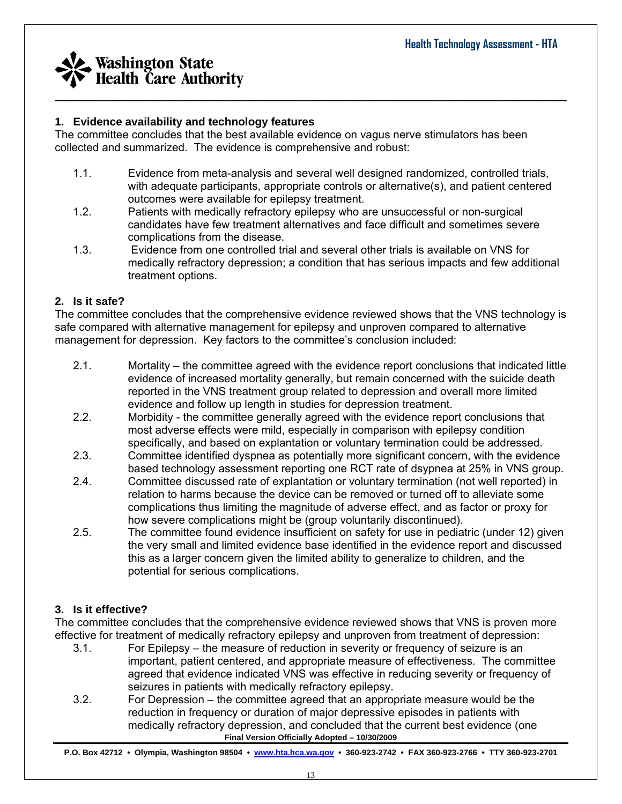

### **1. Evidence availability and technology features**

The committee concludes that the best available evidence on vagus nerve stimulators has been collected and summarized. The evidence is comprehensive and robust:

1.1. Evidence from meta-analysis and several well designed randomized, controlled trials, with adequate participants, appropriate controls or alternative(s), and patient centered outcomes were available for epilepsy treatment.

 $\_$  , and the set of the set of the set of the set of the set of the set of the set of the set of the set of the set of the set of the set of the set of the set of the set of the set of the set of the set of the set of th

- 1.2. Patients with medically refractory epilepsy who are unsuccessful or non-surgical candidates have few treatment alternatives and face difficult and sometimes severe complications from the disease.
- 1.3. Evidence from one controlled trial and several other trials is available on VNS for medically refractory depression; a condition that has serious impacts and few additional treatment options.

### **2. Is it safe?**

The committee concludes that the comprehensive evidence reviewed shows that the VNS technology is safe compared with alternative management for epilepsy and unproven compared to alternative management for depression. Key factors to the committee's conclusion included:

- 2.1. Mortality the committee agreed with the evidence report conclusions that indicated little evidence of increased mortality generally, but remain concerned with the suicide death reported in the VNS treatment group related to depression and overall more limited evidence and follow up length in studies for depression treatment.
- 2.2. Morbidity the committee generally agreed with the evidence report conclusions that most adverse effects were mild, especially in comparison with epilepsy condition specifically, and based on explantation or voluntary termination could be addressed.
- 2.3. Committee identified dyspnea as potentially more significant concern, with the evidence based technology assessment reporting one RCT rate of dsypnea at 25% in VNS group.
- 2.4. Committee discussed rate of explantation or voluntary termination (not well reported) in relation to harms because the device can be removed or turned off to alleviate some complications thus limiting the magnitude of adverse effect, and as factor or proxy for how severe complications might be (group voluntarily discontinued).
- 2.5. The committee found evidence insufficient on safety for use in pediatric (under 12) given the very small and limited evidence base identified in the evidence report and discussed this as a larger concern given the limited ability to generalize to children, and the potential for serious complications.

### **3. Is it effective?**

The committee concludes that the comprehensive evidence reviewed shows that VNS is proven more effective for treatment of medically refractory epilepsy and unproven from treatment of depression:

- 3.1. For Epilepsy the measure of reduction in severity or frequency of seizure is an important, patient centered, and appropriate measure of effectiveness. The committee agreed that evidence indicated VNS was effective in reducing severity or frequency of seizures in patients with medically refractory epilepsy.
- **Final Version Officially Adopted 10/30/2009**  3.2. For Depression – the committee agreed that an appropriate measure would be the reduction in frequency or duration of major depressive episodes in patients with medically refractory depression, and concluded that the current best evidence (one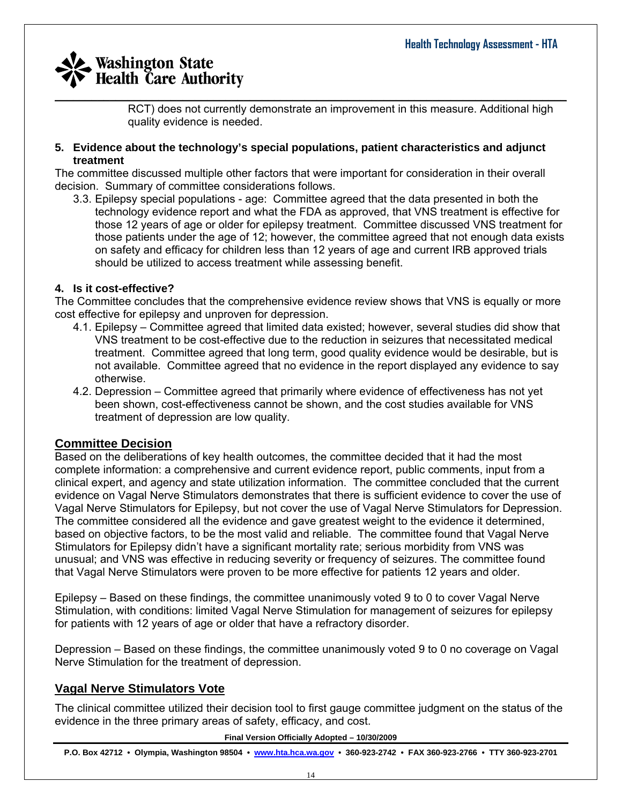RCT) does not currently demonstrate an improvement in this measure. Additional high quality evidence is needed.

#### **5. Evidence about the technology's special populations, patient characteristics and adjunct treatment**

The committee discussed multiple other factors that were important for consideration in their overall decision. Summary of committee considerations follows.

3.3. Epilepsy special populations - age: Committee agreed that the data presented in both the technology evidence report and what the FDA as approved, that VNS treatment is effective for those 12 years of age or older for epilepsy treatment. Committee discussed VNS treatment for those patients under the age of 12; however, the committee agreed that not enough data exists on safety and efficacy for children less than 12 years of age and current IRB approved trials should be utilized to access treatment while assessing benefit.

### **4. Is it cost-effective?**

The Committee concludes that the comprehensive evidence review shows that VNS is equally or more cost effective for epilepsy and unproven for depression.

- 4.1. Epilepsy Committee agreed that limited data existed; however, several studies did show that VNS treatment to be cost-effective due to the reduction in seizures that necessitated medical treatment. Committee agreed that long term, good quality evidence would be desirable, but is not available. Committee agreed that no evidence in the report displayed any evidence to say otherwise.
- 4.2. Depression Committee agreed that primarily where evidence of effectiveness has not yet been shown, cost-effectiveness cannot be shown, and the cost studies available for VNS treatment of depression are low quality.

### **Committee Decision**

Based on the deliberations of key health outcomes, the committee decided that it had the most complete information: a comprehensive and current evidence report, public comments, input from a clinical expert, and agency and state utilization information. The committee concluded that the current evidence on Vagal Nerve Stimulators demonstrates that there is sufficient evidence to cover the use of Vagal Nerve Stimulators for Epilepsy, but not cover the use of Vagal Nerve Stimulators for Depression. The committee considered all the evidence and gave greatest weight to the evidence it determined, based on objective factors, to be the most valid and reliable. The committee found that Vagal Nerve Stimulators for Epilepsy didn't have a significant mortality rate; serious morbidity from VNS was unusual; and VNS was effective in reducing severity or frequency of seizures. The committee found that Vagal Nerve Stimulators were proven to be more effective for patients 12 years and older.

Epilepsy – Based on these findings, the committee unanimously voted 9 to 0 to cover Vagal Nerve Stimulation, with conditions: limited Vagal Nerve Stimulation for management of seizures for epilepsy for patients with 12 years of age or older that have a refractory disorder.

Depression – Based on these findings, the committee unanimously voted 9 to 0 no coverage on Vagal Nerve Stimulation for the treatment of depression.

## **Vagal Nerve Stimulators Vote**

The clinical committee utilized their decision tool to first gauge committee judgment on the status of the evidence in the three primary areas of safety, efficacy, and cost.

#### **Final Version Officially Adopted – 10/30/2009**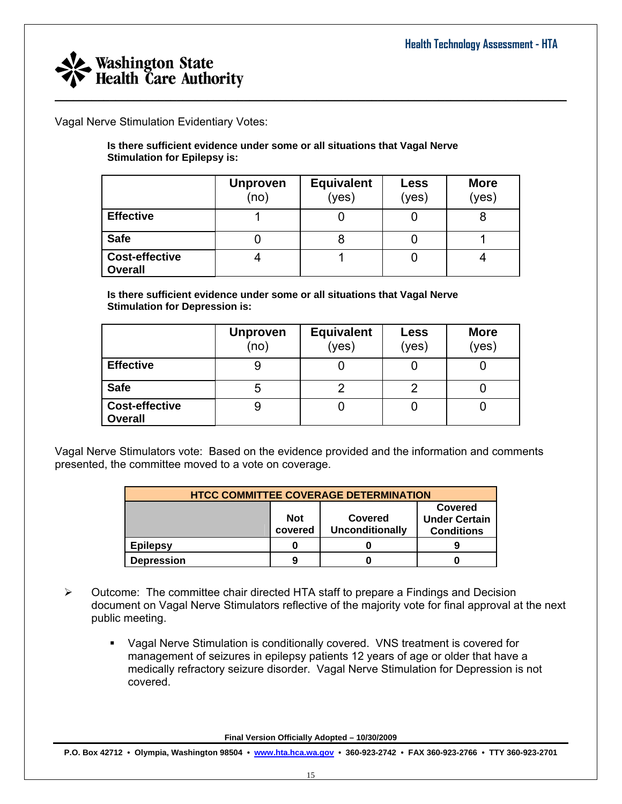

Vagal Nerve Stimulation Evidentiary Votes:

**Is there sufficient evidence under some or all situations that Vagal Nerve Stimulation for Epilepsy is:** 

|                                         | <b>Unproven</b><br>(no) | <b>Equivalent</b><br>(yes) | Less<br>(yes) | <b>More</b><br>(yes) |
|-----------------------------------------|-------------------------|----------------------------|---------------|----------------------|
| <b>Effective</b>                        |                         |                            |               |                      |
| <b>Safe</b>                             |                         |                            |               |                      |
| <b>Cost-effective</b><br><b>Overall</b> |                         |                            |               |                      |

**Is there sufficient evidence under some or all situations that Vagal Nerve Stimulation for Depression is:** 

|                                         | <b>Unproven</b><br>(no) | <b>Equivalent</b><br>(yes) | Less<br>(yes) | <b>More</b><br>(yes) |
|-----------------------------------------|-------------------------|----------------------------|---------------|----------------------|
| <b>Effective</b>                        | 9                       |                            |               |                      |
| <b>Safe</b>                             | 5                       |                            |               |                      |
| <b>Cost-effective</b><br><b>Overall</b> | এ                       |                            |               |                      |

Vagal Nerve Stimulators vote: Based on the evidence provided and the information and comments presented, the committee moved to a vote on coverage.

| <b>HTCC COMMITTEE COVERAGE DETERMINATION</b> |                                                            |  |   |  |  |  |  |
|----------------------------------------------|------------------------------------------------------------|--|---|--|--|--|--|
|                                              | <b>Not</b><br>Covered<br><b>Unconditionally</b><br>covered |  |   |  |  |  |  |
| <b>Epilepsy</b>                              |                                                            |  | g |  |  |  |  |
| <b>Depression</b>                            | 9                                                          |  |   |  |  |  |  |

- $\triangleright$  Outcome: The committee chair directed HTA staff to prepare a Findings and Decision document on Vagal Nerve Stimulators reflective of the majority vote for final approval at the next public meeting.
	- Vagal Nerve Stimulation is conditionally covered. VNS treatment is covered for management of seizures in epilepsy patients 12 years of age or older that have a medically refractory seizure disorder. Vagal Nerve Stimulation for Depression is not covered.

**Final Version Officially Adopted – 10/30/2009**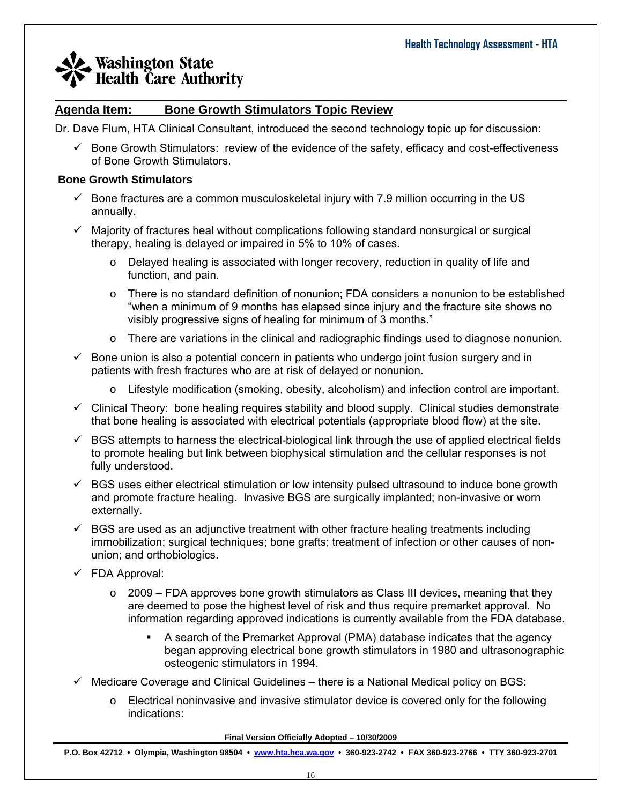#### $\_$  , and the set of the set of the set of the set of the set of the set of the set of the set of the set of the set of the set of the set of the set of the set of the set of the set of the set of the set of the set of th **Agenda Item: Bone Growth Stimulators Topic Review**

Dr. Dave Flum, HTA Clinical Consultant, introduced the second technology topic up for discussion:

 $\checkmark$  Bone Growth Stimulators: review of the evidence of the safety, efficacy and cost-effectiveness of Bone Growth Stimulators.

#### **Bone Growth Stimulators**

- $\checkmark$  Bone fractures are a common musculoskeletal injury with 7.9 million occurring in the US annually.
- $\checkmark$  Majority of fractures heal without complications following standard nonsurgical or surgical therapy, healing is delayed or impaired in 5% to 10% of cases.
	- $\circ$  Delayed healing is associated with longer recovery, reduction in quality of life and function, and pain.
	- o There is no standard definition of nonunion; FDA considers a nonunion to be established "when a minimum of 9 months has elapsed since injury and the fracture site shows no visibly progressive signs of healing for minimum of 3 months."
	- $\circ$  There are variations in the clinical and radiographic findings used to diagnose nonunion.
- $\checkmark$  Bone union is also a potential concern in patients who undergo joint fusion surgery and in patients with fresh fractures who are at risk of delayed or nonunion.
	- o Lifestyle modification (smoking, obesity, alcoholism) and infection control are important.
- $\checkmark$  Clinical Theory: bone healing requires stability and blood supply. Clinical studies demonstrate that bone healing is associated with electrical potentials (appropriate blood flow) at the site.
- $\checkmark$  BGS attempts to harness the electrical-biological link through the use of applied electrical fields to promote healing but link between biophysical stimulation and the cellular responses is not fully understood.
- $\checkmark$  BGS uses either electrical stimulation or low intensity pulsed ultrasound to induce bone growth and promote fracture healing. Invasive BGS are surgically implanted; non-invasive or worn externally.
- $\checkmark$  BGS are used as an adjunctive treatment with other fracture healing treatments including immobilization; surgical techniques; bone grafts; treatment of infection or other causes of nonunion; and orthobiologics.
- $\checkmark$  FDA Approval:
	- $\circ$  2009 FDA approves bone growth stimulators as Class III devices, meaning that they are deemed to pose the highest level of risk and thus require premarket approval. No information regarding approved indications is currently available from the FDA database.
		- A search of the Premarket Approval (PMA) database indicates that the agency began approving electrical bone growth stimulators in 1980 and ultrasonographic osteogenic stimulators in 1994.
- $\checkmark$  Medicare Coverage and Clinical Guidelines there is a National Medical policy on BGS:
	- $\circ$  Electrical noninvasive and invasive stimulator device is covered only for the following indications:

**Final Version Officially Adopted – 10/30/2009**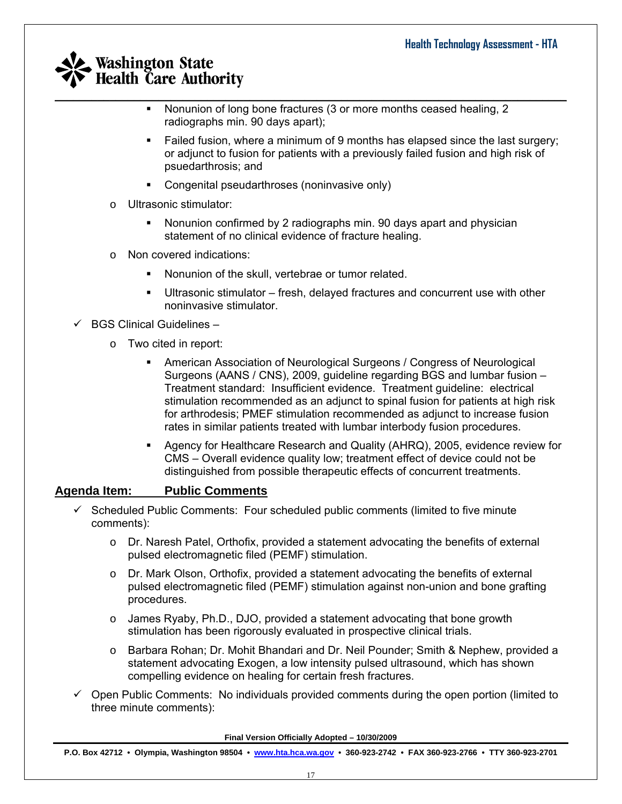- $\_$  , and the set of the set of the set of the set of the set of the set of the set of the set of the set of the set of the set of the set of the set of the set of the set of the set of the set of the set of the set of th • Nonunion of long bone fractures (3 or more months ceased healing, 2 radiographs min. 90 days apart);
	- Failed fusion, where a minimum of 9 months has elapsed since the last surgery; or adjunct to fusion for patients with a previously failed fusion and high risk of psuedarthrosis; and
	- Congenital pseudarthroses (noninvasive only)
	- o Ultrasonic stimulator:
		- Nonunion confirmed by 2 radiographs min. 90 days apart and physician statement of no clinical evidence of fracture healing.
	- o Non covered indications:
		- Nonunion of the skull, vertebrae or tumor related.
		- Ultrasonic stimulator fresh, delayed fractures and concurrent use with other noninvasive stimulator.

 $\checkmark$  BGS Clinical Guidelines –

- o Two cited in report:
	- American Association of Neurological Surgeons / Congress of Neurological Surgeons (AANS / CNS), 2009, guideline regarding BGS and lumbar fusion – Treatment standard: Insufficient evidence. Treatment guideline: electrical stimulation recommended as an adjunct to spinal fusion for patients at high risk for arthrodesis; PMEF stimulation recommended as adjunct to increase fusion rates in similar patients treated with lumbar interbody fusion procedures.
	- Agency for Healthcare Research and Quality (AHRQ), 2005, evidence review for CMS – Overall evidence quality low; treatment effect of device could not be distinguished from possible therapeutic effects of concurrent treatments.

### **Agenda Item: Public Comments**

- $\checkmark$  Scheduled Public Comments: Four scheduled public comments (limited to five minute comments):
	- $\circ$  Dr. Naresh Patel, Orthofix, provided a statement advocating the benefits of external pulsed electromagnetic filed (PEMF) stimulation.
	- o Dr. Mark Olson, Orthofix, provided a statement advocating the benefits of external pulsed electromagnetic filed (PEMF) stimulation against non-union and bone grafting procedures.
	- o James Ryaby, Ph.D., DJO, provided a statement advocating that bone growth stimulation has been rigorously evaluated in prospective clinical trials.
	- o Barbara Rohan; Dr. Mohit Bhandari and Dr. Neil Pounder; Smith & Nephew, provided a statement advocating Exogen, a low intensity pulsed ultrasound, which has shown compelling evidence on healing for certain fresh fractures.
- $\checkmark$  Open Public Comments: No individuals provided comments during the open portion (limited to three minute comments):

**Final Version Officially Adopted – 10/30/2009**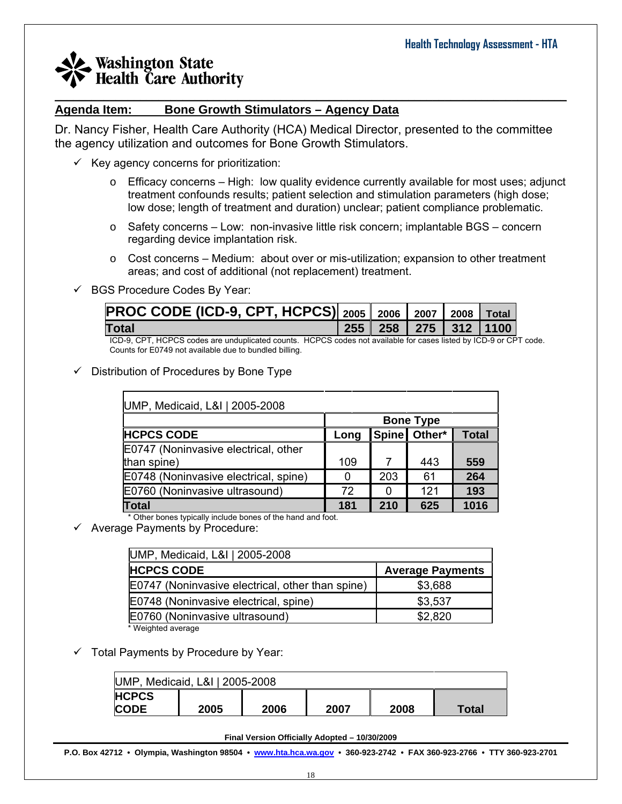### $\_$  , and the set of the set of the set of the set of the set of the set of the set of the set of the set of the set of the set of the set of the set of the set of the set of the set of the set of the set of the set of th **Agenda Item: Bone Growth Stimulators – Agency Data**

Dr. Nancy Fisher, Health Care Authority (HCA) Medical Director, presented to the committee the agency utilization and outcomes for Bone Growth Stimulators.

- $\checkmark$  Key agency concerns for prioritization:
	- $\circ$  Efficacy concerns High: low quality evidence currently available for most uses; adjunct treatment confounds results; patient selection and stimulation parameters (high dose; low dose; length of treatment and duration) unclear; patient compliance problematic.
	- $\circ$  Safety concerns Low: non-invasive little risk concern; implantable BGS concern regarding device implantation risk.
	- $\circ$  Cost concerns Medium: about over or mis-utilization; expansion to other treatment areas; and cost of additional (not replacement) treatment.

### $\checkmark$  BGS Procedure Codes By Year:

| PROC CODE (ICD-9, CPT, HCPCS) 2005 2006 2007 2008 Total |  |  |                              |
|---------------------------------------------------------|--|--|------------------------------|
| <b>Total</b>                                            |  |  | 255   258   275   312   1100 |
| .                                                       |  |  |                              |

ICD-9, CPT, HCPCS codes are unduplicated counts. HCPCS codes not available for cases listed by ICD-9 or CPT code. Counts for E0749 not available due to bundled billing.

### $\checkmark$  Distribution of Procedures by Bone Type

| UMP, Medicaid, L&I   2005-2008        |                  |     |              |              |  |  |  |  |
|---------------------------------------|------------------|-----|--------------|--------------|--|--|--|--|
|                                       | <b>Bone Type</b> |     |              |              |  |  |  |  |
| <b>HCPCS CODE</b>                     | Long             |     | Spine Other* | <b>Total</b> |  |  |  |  |
| E0747 (Noninvasive electrical, other  |                  |     |              |              |  |  |  |  |
| than spine)                           | 109              |     | 443          | 559          |  |  |  |  |
| E0748 (Noninvasive electrical, spine) | 0                | 203 | 61           | 264          |  |  |  |  |
| E0760 (Noninvasive ultrasound)        | 72               | O   | 121          | 193          |  |  |  |  |
| <b>Total</b>                          | 181              | 210 | 625          | 1016         |  |  |  |  |

\* Other bones typically include bones of the hand and foot.

 $\checkmark$  Average Payments by Procedure:

| UMP, Medicaid, L&I   2005-2008                   |                         |  |  |  |  |  |
|--------------------------------------------------|-------------------------|--|--|--|--|--|
| <b>HCPCS CODE</b>                                | <b>Average Payments</b> |  |  |  |  |  |
| E0747 (Noninvasive electrical, other than spine) | \$3,688                 |  |  |  |  |  |
| E0748 (Noninvasive electrical, spine)            | \$3,537                 |  |  |  |  |  |
| E0760 (Noninvasive ultrasound)                   | \$2,820                 |  |  |  |  |  |
| * Weighted average                               |                         |  |  |  |  |  |

 $\checkmark$  Total Payments by Procedure by Year:

| UMP, Medicaid, L&I   2005-2008 |      |      |      |      |       |  |
|--------------------------------|------|------|------|------|-------|--|
| <b>HCPCS</b>                   |      |      |      |      |       |  |
| <b>CODE</b>                    | 2005 | 2006 | 2007 | 2008 | Total |  |

#### **Final Version Officially Adopted – 10/30/2009**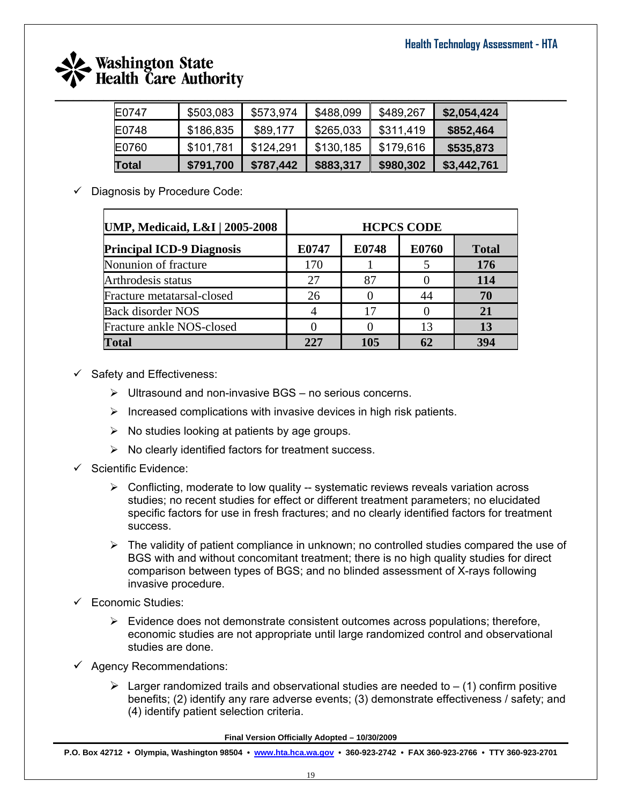

| E0747 | \$503,083 | \$573,974 | \$488,099 | \$489,267 | \$2,054,424 |
|-------|-----------|-----------|-----------|-----------|-------------|
| E0748 | \$186,835 | \$89,177  | \$265,033 | \$311,419 | \$852,464   |
| E0760 | \$101,781 | \$124,291 | \$130,185 | \$179,616 | \$535,873   |
| Total | \$791,700 | \$787,442 | \$883,317 | \$980,302 | \$3,442,761 |

 $\checkmark$  Diagnosis by Procedure Code:

| <b>UMP, Medicaid, L&amp;I   2005-2008</b> | <b>HCPCS CODE</b> |       |       |              |  |  |
|-------------------------------------------|-------------------|-------|-------|--------------|--|--|
| <b>Principal ICD-9 Diagnosis</b>          | E0747             | E0748 | E0760 | <b>Total</b> |  |  |
| Nonunion of fracture                      | 170               |       |       | 176          |  |  |
| Arthrodesis status                        | 27                | 87    |       | 114          |  |  |
| Fracture metatarsal-closed                | 26                |       | 44    | 70           |  |  |
| <b>Back disorder NOS</b>                  |                   | 17    |       | 21           |  |  |
| Fracture ankle NOS-closed                 |                   |       | 13    | 13           |  |  |
| <b>Total</b>                              | 227               | 105   | 62    | 394          |  |  |

- $\checkmark$  Safety and Effectiveness:
	- $\triangleright$  Ultrasound and non-invasive BGS no serious concerns.
	- $\triangleright$  Increased complications with invasive devices in high risk patients.
	- $\triangleright$  No studies looking at patients by age groups.
	- $\triangleright$  No clearly identified factors for treatment success.
- $\checkmark$  Scientific Evidence:
	- $\triangleright$  Conflicting, moderate to low quality -- systematic reviews reveals variation across studies; no recent studies for effect or different treatment parameters; no elucidated specific factors for use in fresh fractures; and no clearly identified factors for treatment success.
	- $\triangleright$  The validity of patient compliance in unknown; no controlled studies compared the use of BGS with and without concomitant treatment; there is no high quality studies for direct comparison between types of BGS; and no blinded assessment of X-rays following invasive procedure.
- $\checkmark$  Economic Studies:
	- $\triangleright$  Evidence does not demonstrate consistent outcomes across populations; therefore, economic studies are not appropriate until large randomized control and observational studies are done.
- $\checkmark$  Agency Recommendations:
	- $\triangleright$  Larger randomized trails and observational studies are needed to  $-$  (1) confirm positive benefits; (2) identify any rare adverse events; (3) demonstrate effectiveness / safety; and (4) identify patient selection criteria.

**Final Version Officially Adopted – 10/30/2009**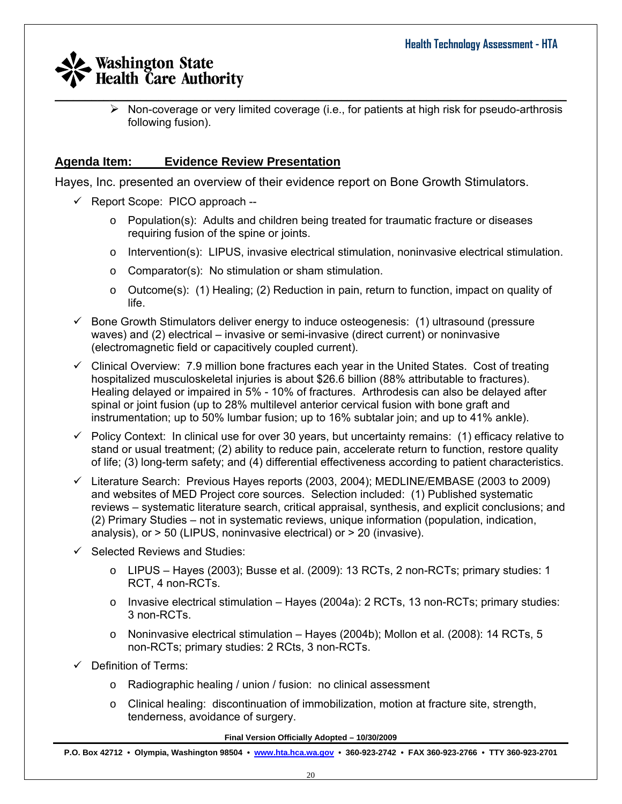$\triangleright$  Non-coverage or very limited coverage (i.e., for patients at high risk for pseudo-arthrosis following fusion).

## **Agenda Item: Evidence Review Presentation**

Hayes, Inc. presented an overview of their evidence report on Bone Growth Stimulators.

- $\checkmark$  Report Scope: PICO approach --
	- $\circ$  Population(s): Adults and children being treated for traumatic fracture or diseases requiring fusion of the spine or joints.
	- $\circ$  Intervention(s): LIPUS, invasive electrical stimulation, noninvasive electrical stimulation.
	- o Comparator(s): No stimulation or sham stimulation.
	- o Outcome(s): (1) Healing; (2) Reduction in pain, return to function, impact on quality of life.
- $\checkmark$  Bone Growth Stimulators deliver energy to induce osteogenesis: (1) ultrasound (pressure waves) and (2) electrical – invasive or semi-invasive (direct current) or noninvasive (electromagnetic field or capacitively coupled current).
- $\checkmark$  Clinical Overview: 7.9 million bone fractures each year in the United States. Cost of treating hospitalized musculoskeletal injuries is about \$26.6 billion (88% attributable to fractures). Healing delayed or impaired in 5% - 10% of fractures. Arthrodesis can also be delayed after spinal or joint fusion (up to 28% multilevel anterior cervical fusion with bone graft and instrumentation; up to 50% lumbar fusion; up to 16% subtalar join; and up to 41% ankle).
- $\checkmark$  Policy Context: In clinical use for over 30 years, but uncertainty remains: (1) efficacy relative to stand or usual treatment; (2) ability to reduce pain, accelerate return to function, restore quality of life; (3) long-term safety; and (4) differential effectiveness according to patient characteristics.
- $\checkmark$  Literature Search: Previous Hayes reports (2003, 2004); MEDLINE/EMBASE (2003 to 2009) and websites of MED Project core sources. Selection included: (1) Published systematic reviews – systematic literature search, critical appraisal, synthesis, and explicit conclusions; and (2) Primary Studies – not in systematic reviews, unique information (population, indication, analysis), or > 50 (LIPUS, noninvasive electrical) or > 20 (invasive).
- $\checkmark$  Selected Reviews and Studies:
	- o LIPUS Hayes (2003); Busse et al. (2009): 13 RCTs, 2 non-RCTs; primary studies: 1 RCT, 4 non-RCTs.
	- $\circ$  Invasive electrical stimulation Hayes (2004a): 2 RCTs, 13 non-RCTs; primary studies: 3 non-RCTs.
	- $\circ$  Noninvasive electrical stimulation Hayes (2004b); Mollon et al. (2008): 14 RCTs, 5 non-RCTs; primary studies: 2 RCts, 3 non-RCTs.
- $\checkmark$  Definition of Terms:
	- o Radiographic healing / union / fusion: no clinical assessment
	- o Clinical healing: discontinuation of immobilization, motion at fracture site, strength, tenderness, avoidance of surgery.

**Final Version Officially Adopted – 10/30/2009**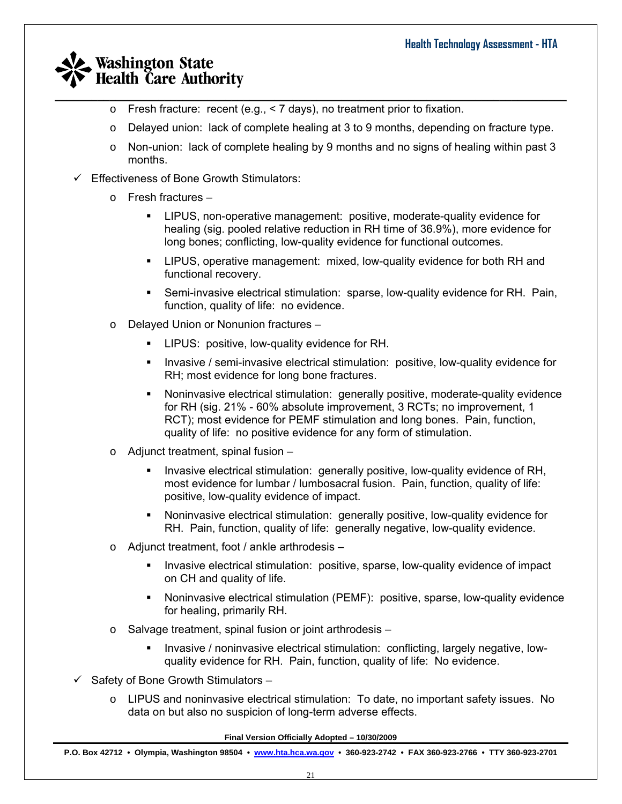$\circ$  Fresh fracture: recent (e.g., < 7 days), no treatment prior to fixation.

 $\_$  , and the set of the set of the set of the set of the set of the set of the set of the set of the set of the set of the set of the set of the set of the set of the set of the set of the set of the set of the set of th

- o Delayed union: lack of complete healing at 3 to 9 months, depending on fracture type.
- $\circ$  Non-union: lack of complete healing by 9 months and no signs of healing within past 3 months.
- $\checkmark$  Effectiveness of Bone Growth Stimulators:
	- o Fresh fractures
		- LIPUS, non-operative management: positive, moderate-quality evidence for healing (sig. pooled relative reduction in RH time of 36.9%), more evidence for long bones; conflicting, low-quality evidence for functional outcomes.
		- LIPUS, operative management: mixed, low-quality evidence for both RH and functional recovery.
		- Semi-invasive electrical stimulation: sparse, low-quality evidence for RH. Pain, function, quality of life: no evidence.
	- o Delayed Union or Nonunion fractures
		- LIPUS: positive, low-quality evidence for RH.
		- **Invasive / semi-invasive electrical stimulation: positive, low-quality evidence for** RH; most evidence for long bone fractures.
		- Noninvasive electrical stimulation: generally positive, moderate-quality evidence for RH (sig. 21% - 60% absolute improvement, 3 RCTs; no improvement, 1 RCT); most evidence for PEMF stimulation and long bones. Pain, function, quality of life: no positive evidence for any form of stimulation.
	- o Adjunct treatment, spinal fusion
		- **Invasive electrical stimulation: generally positive, low-quality evidence of RH,** most evidence for lumbar / lumbosacral fusion. Pain, function, quality of life: positive, low-quality evidence of impact.
		- Noninvasive electrical stimulation: generally positive, low-quality evidence for RH. Pain, function, quality of life: generally negative, low-quality evidence.
	- o Adjunct treatment, foot / ankle arthrodesis
		- Invasive electrical stimulation: positive, sparse, low-quality evidence of impact on CH and quality of life.
		- Noninvasive electrical stimulation (PEMF): positive, sparse, low-quality evidence for healing, primarily RH.
	- o Salvage treatment, spinal fusion or joint arthrodesis
		- Invasive / noninvasive electrical stimulation: conflicting, largely negative, lowquality evidence for RH. Pain, function, quality of life: No evidence.
- $\checkmark$  Safety of Bone Growth Stimulators
	- o LIPUS and noninvasive electrical stimulation: To date, no important safety issues. No data on but also no suspicion of long-term adverse effects.

**Final Version Officially Adopted – 10/30/2009**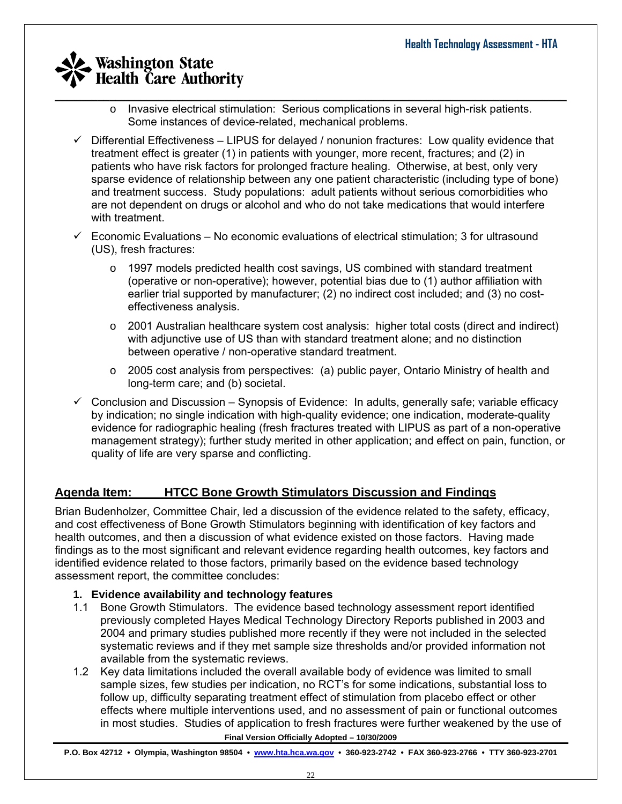- $\_$  , and the set of the set of the set of the set of the set of the set of the set of the set of the set of the set of the set of the set of the set of the set of the set of the set of the set of the set of the set of th o Invasive electrical stimulation: Serious complications in several high-risk patients. Some instances of device-related, mechanical problems.
	- $\checkmark$  Differential Effectiveness LIPUS for delayed / nonunion fractures: Low quality evidence that treatment effect is greater (1) in patients with younger, more recent, fractures; and (2) in patients who have risk factors for prolonged fracture healing. Otherwise, at best, only very sparse evidence of relationship between any one patient characteristic (including type of bone) and treatment success. Study populations: adult patients without serious comorbidities who are not dependent on drugs or alcohol and who do not take medications that would interfere with treatment.
	- $\checkmark$  Economic Evaluations No economic evaluations of electrical stimulation; 3 for ultrasound (US), fresh fractures:
		- $\circ$  1997 models predicted health cost savings, US combined with standard treatment (operative or non-operative); however, potential bias due to (1) author affiliation with earlier trial supported by manufacturer; (2) no indirect cost included; and (3) no costeffectiveness analysis.
		- $\circ$  2001 Australian healthcare system cost analysis: higher total costs (direct and indirect) with adjunctive use of US than with standard treatment alone; and no distinction between operative / non-operative standard treatment.
		- $\circ$  2005 cost analysis from perspectives: (a) public payer, Ontario Ministry of health and long-term care; and (b) societal.
	- $\checkmark$  Conclusion and Discussion Synopsis of Evidence: In adults, generally safe; variable efficacy by indication; no single indication with high-quality evidence; one indication, moderate-quality evidence for radiographic healing (fresh fractures treated with LIPUS as part of a non-operative management strategy); further study merited in other application; and effect on pain, function, or quality of life are very sparse and conflicting.

## **Agenda Item: HTCC Bone Growth Stimulators Discussion and Findings**

Brian Budenholzer, Committee Chair, led a discussion of the evidence related to the safety, efficacy, and cost effectiveness of Bone Growth Stimulators beginning with identification of key factors and health outcomes, and then a discussion of what evidence existed on those factors. Having made findings as to the most significant and relevant evidence regarding health outcomes, key factors and identified evidence related to those factors, primarily based on the evidence based technology assessment report, the committee concludes:

### **1. Evidence availability and technology features**

- 1.1 Bone Growth Stimulators. The evidence based technology assessment report identified previously completed Hayes Medical Technology Directory Reports published in 2003 and 2004 and primary studies published more recently if they were not included in the selected systematic reviews and if they met sample size thresholds and/or provided information not available from the systematic reviews.
- 1.2 Key data limitations included the overall available body of evidence was limited to small sample sizes, few studies per indication, no RCT's for some indications, substantial loss to follow up, difficulty separating treatment effect of stimulation from placebo effect or other effects where multiple interventions used, and no assessment of pain or functional outcomes in most studies. Studies of application to fresh fractures were further weakened by the use of

**Final Version Officially Adopted – 10/30/2009**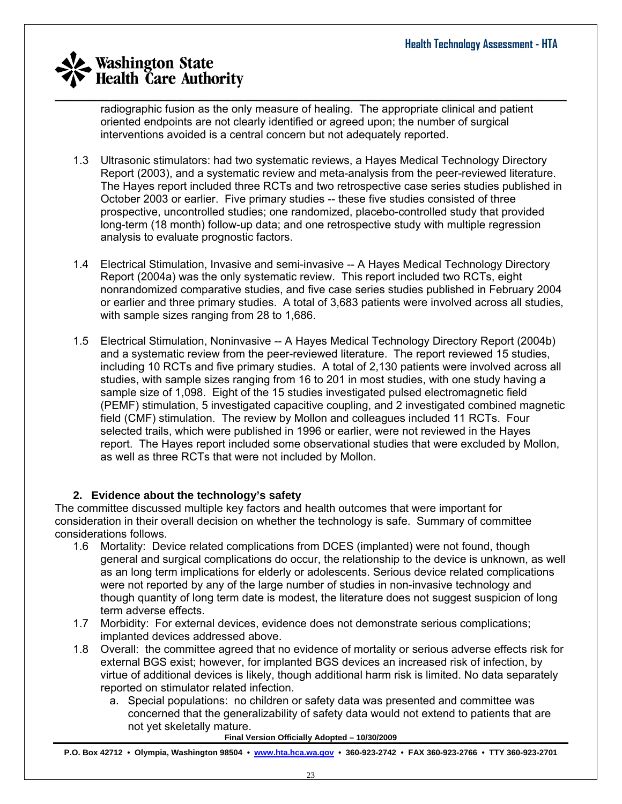radiographic fusion as the only measure of healing. The appropriate clinical and patient oriented endpoints are not clearly identified or agreed upon; the number of surgical interventions avoided is a central concern but not adequately reported.

- 1.3 Ultrasonic stimulators: had two systematic reviews, a Hayes Medical Technology Directory Report (2003), and a systematic review and meta-analysis from the peer-reviewed literature. The Hayes report included three RCTs and two retrospective case series studies published in October 2003 or earlier. Five primary studies -- these five studies consisted of three prospective, uncontrolled studies; one randomized, placebo-controlled study that provided long-term (18 month) follow-up data; and one retrospective study with multiple regression analysis to evaluate prognostic factors.
- 1.4 Electrical Stimulation, Invasive and semi-invasive -- A Hayes Medical Technology Directory Report (2004a) was the only systematic review. This report included two RCTs, eight nonrandomized comparative studies, and five case series studies published in February 2004 or earlier and three primary studies. A total of 3,683 patients were involved across all studies, with sample sizes ranging from 28 to 1,686.
- 1.5 Electrical Stimulation, Noninvasive -- A Hayes Medical Technology Directory Report (2004b) and a systematic review from the peer-reviewed literature. The report reviewed 15 studies, including 10 RCTs and five primary studies. A total of 2,130 patients were involved across all studies, with sample sizes ranging from 16 to 201 in most studies, with one study having a sample size of 1,098. Eight of the 15 studies investigated pulsed electromagnetic field (PEMF) stimulation, 5 investigated capacitive coupling, and 2 investigated combined magnetic field (CMF) stimulation. The review by Mollon and colleagues included 11 RCTs. Four selected trails, which were published in 1996 or earlier, were not reviewed in the Hayes report. The Hayes report included some observational studies that were excluded by Mollon, as well as three RCTs that were not included by Mollon.

### **2. Evidence about the technology's safety**

The committee discussed multiple key factors and health outcomes that were important for consideration in their overall decision on whether the technology is safe. Summary of committee considerations follows.

- 1.6 Mortality: Device related complications from DCES (implanted) were not found, though general and surgical complications do occur, the relationship to the device is unknown, as well as an long term implications for elderly or adolescents. Serious device related complications were not reported by any of the large number of studies in non-invasive technology and though quantity of long term date is modest, the literature does not suggest suspicion of long term adverse effects.
- 1.7 Morbidity: For external devices, evidence does not demonstrate serious complications; implanted devices addressed above.
- 1.8 Overall: the committee agreed that no evidence of mortality or serious adverse effects risk for external BGS exist; however, for implanted BGS devices an increased risk of infection, by virtue of additional devices is likely, though additional harm risk is limited. No data separately reported on stimulator related infection.
	- a. Special populations: no children or safety data was presented and committee was concerned that the generalizability of safety data would not extend to patients that are not yet skeletally mature.

**Final Version Officially Adopted – 10/30/2009**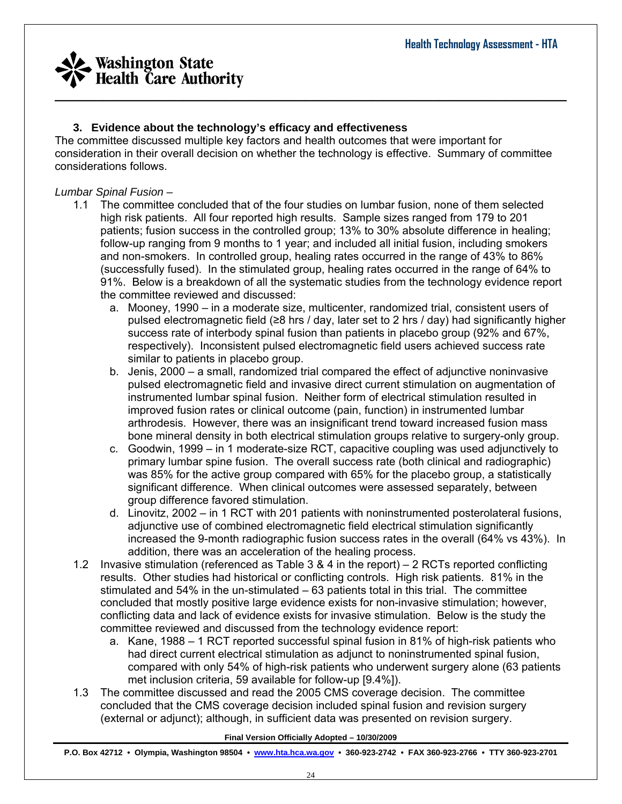

### **3. Evidence about the technology's efficacy and effectiveness**

The committee discussed multiple key factors and health outcomes that were important for consideration in their overall decision on whether the technology is effective. Summary of committee considerations follows.

#### *Lumbar Spinal Fusion –*

- 1.1 The committee concluded that of the four studies on lumbar fusion, none of them selected high risk patients. All four reported high results. Sample sizes ranged from 179 to 201 patients; fusion success in the controlled group; 13% to 30% absolute difference in healing; follow-up ranging from 9 months to 1 year; and included all initial fusion, including smokers and non-smokers. In controlled group, healing rates occurred in the range of 43% to 86% (successfully fused). In the stimulated group, healing rates occurred in the range of 64% to 91%. Below is a breakdown of all the systematic studies from the technology evidence report the committee reviewed and discussed:
	- a. Mooney, 1990 in a moderate size, multicenter, randomized trial, consistent users of pulsed electromagnetic field ( $\geq 8$  hrs / day, later set to 2 hrs / day) had significantly higher success rate of interbody spinal fusion than patients in placebo group (92% and 67%, respectively). Inconsistent pulsed electromagnetic field users achieved success rate similar to patients in placebo group.
	- b. Jenis, 2000 a small, randomized trial compared the effect of adjunctive noninvasive pulsed electromagnetic field and invasive direct current stimulation on augmentation of instrumented lumbar spinal fusion. Neither form of electrical stimulation resulted in improved fusion rates or clinical outcome (pain, function) in instrumented lumbar arthrodesis. However, there was an insignificant trend toward increased fusion mass bone mineral density in both electrical stimulation groups relative to surgery-only group.
	- c. Goodwin, 1999 in 1 moderate-size RCT, capacitive coupling was used adjunctively to primary lumbar spine fusion. The overall success rate (both clinical and radiographic) was 85% for the active group compared with 65% for the placebo group, a statistically significant difference. When clinical outcomes were assessed separately, between group difference favored stimulation.
	- d. Linovitz, 2002 in 1 RCT with 201 patients with noninstrumented posterolateral fusions, adjunctive use of combined electromagnetic field electrical stimulation significantly increased the 9-month radiographic fusion success rates in the overall (64% vs 43%). In addition, there was an acceleration of the healing process.
- 1.2 Invasive stimulation (referenced as Table 3 & 4 in the report) 2 RCTs reported conflicting results. Other studies had historical or conflicting controls. High risk patients. 81% in the stimulated and 54% in the un-stimulated – 63 patients total in this trial. The committee concluded that mostly positive large evidence exists for non-invasive stimulation; however, conflicting data and lack of evidence exists for invasive stimulation. Below is the study the committee reviewed and discussed from the technology evidence report:
	- a. Kane, 1988 1 RCT reported successful spinal fusion in 81% of high-risk patients who had direct current electrical stimulation as adjunct to noninstrumented spinal fusion, compared with only 54% of high-risk patients who underwent surgery alone (63 patients met inclusion criteria, 59 available for follow-up [9.4%]).
- 1.3 The committee discussed and read the 2005 CMS coverage decision. The committee concluded that the CMS coverage decision included spinal fusion and revision surgery (external or adjunct); although, in sufficient data was presented on revision surgery.

#### **Final Version Officially Adopted – 10/30/2009**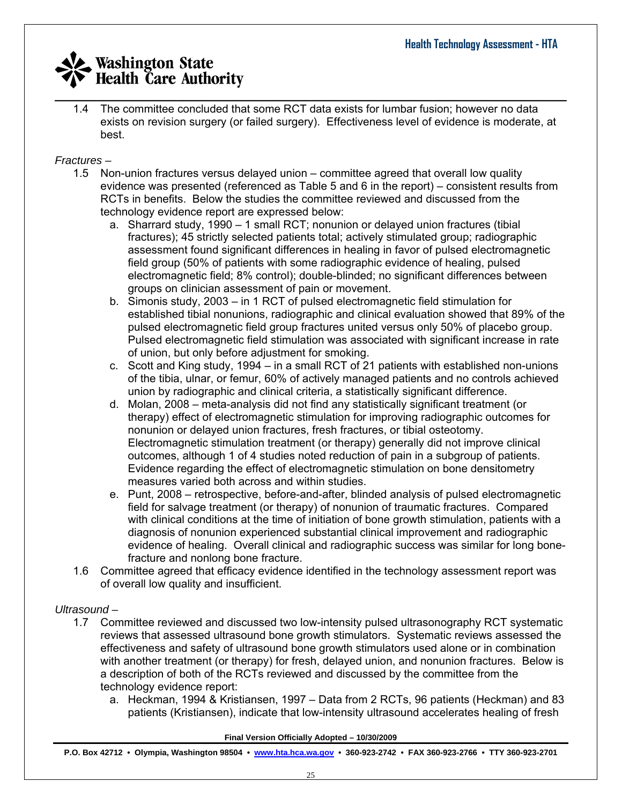$\_$  , and the set of the set of the set of the set of the set of the set of the set of the set of the set of the set of the set of the set of the set of the set of the set of the set of the set of the set of the set of th 1.4 The committee concluded that some RCT data exists for lumbar fusion; however no data exists on revision surgery (or failed surgery). Effectiveness level of evidence is moderate, at best.

### *Fractures –*

- 1.5 Non-union fractures versus delayed union committee agreed that overall low quality evidence was presented (referenced as Table 5 and 6 in the report) – consistent results from RCTs in benefits. Below the studies the committee reviewed and discussed from the technology evidence report are expressed below:
	- a. Sharrard study, 1990 1 small RCT; nonunion or delayed union fractures (tibial fractures); 45 strictly selected patients total; actively stimulated group; radiographic assessment found significant differences in healing in favor of pulsed electromagnetic field group (50% of patients with some radiographic evidence of healing, pulsed electromagnetic field; 8% control); double-blinded; no significant differences between groups on clinician assessment of pain or movement.
	- b. Simonis study, 2003 in 1 RCT of pulsed electromagnetic field stimulation for established tibial nonunions, radiographic and clinical evaluation showed that 89% of the pulsed electromagnetic field group fractures united versus only 50% of placebo group. Pulsed electromagnetic field stimulation was associated with significant increase in rate of union, but only before adjustment for smoking.
	- c. Scott and King study, 1994 in a small RCT of 21 patients with established non-unions of the tibia, ulnar, or femur, 60% of actively managed patients and no controls achieved union by radiographic and clinical criteria, a statistically significant difference.
	- d. Molan, 2008 meta-analysis did not find any statistically significant treatment (or therapy) effect of electromagnetic stimulation for improving radiographic outcomes for nonunion or delayed union fractures, fresh fractures, or tibial osteotomy. Electromagnetic stimulation treatment (or therapy) generally did not improve clinical outcomes, although 1 of 4 studies noted reduction of pain in a subgroup of patients. Evidence regarding the effect of electromagnetic stimulation on bone densitometry measures varied both across and within studies.
	- e. Punt, 2008 retrospective, before-and-after, blinded analysis of pulsed electromagnetic field for salvage treatment (or therapy) of nonunion of traumatic fractures. Compared with clinical conditions at the time of initiation of bone growth stimulation, patients with a diagnosis of nonunion experienced substantial clinical improvement and radiographic evidence of healing. Overall clinical and radiographic success was similar for long bonefracture and nonlong bone fracture.
- 1.6 Committee agreed that efficacy evidence identified in the technology assessment report was of overall low quality and insufficient.

## *Ultrasound –*

- 1.7 Committee reviewed and discussed two low-intensity pulsed ultrasonography RCT systematic reviews that assessed ultrasound bone growth stimulators. Systematic reviews assessed the effectiveness and safety of ultrasound bone growth stimulators used alone or in combination with another treatment (or therapy) for fresh, delayed union, and nonunion fractures. Below is a description of both of the RCTs reviewed and discussed by the committee from the technology evidence report:
	- a. Heckman, 1994 & Kristiansen, 1997 Data from 2 RCTs, 96 patients (Heckman) and 83 patients (Kristiansen), indicate that low-intensity ultrasound accelerates healing of fresh

#### **Final Version Officially Adopted – 10/30/2009**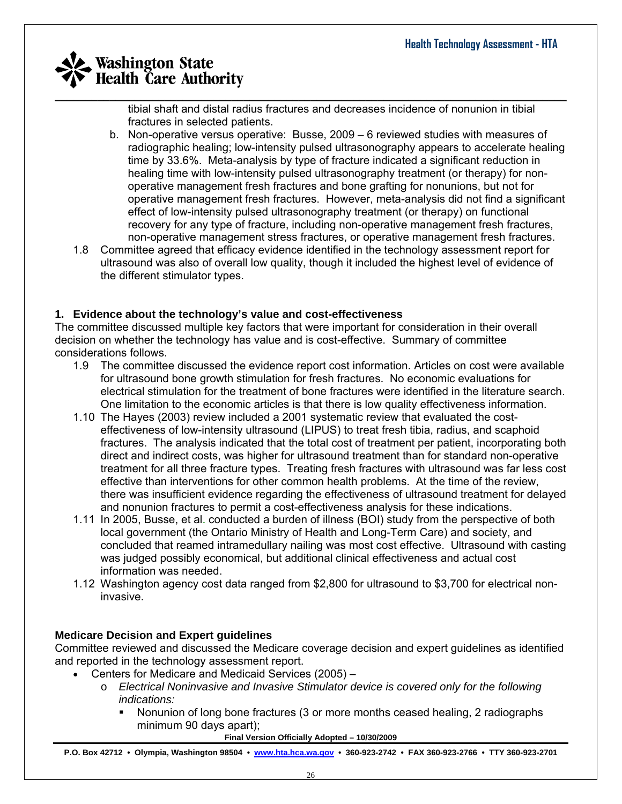tibial shaft and distal radius fractures and decreases incidence of nonunion in tibial fractures in selected patients.

- b. Non-operative versus operative: Busse, 2009 6 reviewed studies with measures of radiographic healing; low-intensity pulsed ultrasonography appears to accelerate healing time by 33.6%. Meta-analysis by type of fracture indicated a significant reduction in healing time with low-intensity pulsed ultrasonography treatment (or therapy) for nonoperative management fresh fractures and bone grafting for nonunions, but not for operative management fresh fractures. However, meta-analysis did not find a significant effect of low-intensity pulsed ultrasonography treatment (or therapy) on functional recovery for any type of fracture, including non-operative management fresh fractures, non-operative management stress fractures, or operative management fresh fractures.
- 1.8 Committee agreed that efficacy evidence identified in the technology assessment report for ultrasound was also of overall low quality, though it included the highest level of evidence of the different stimulator types.

### **1. Evidence about the technology's value and cost-effectiveness**

The committee discussed multiple key factors that were important for consideration in their overall decision on whether the technology has value and is cost-effective. Summary of committee considerations follows.

- 1.9 The committee discussed the evidence report cost information. Articles on cost were available for ultrasound bone growth stimulation for fresh fractures. No economic evaluations for electrical stimulation for the treatment of bone fractures were identified in the literature search. One limitation to the economic articles is that there is low quality effectiveness information.
- 1.10 The Hayes (2003) review included a 2001 systematic review that evaluated the costeffectiveness of low-intensity ultrasound (LIPUS) to treat fresh tibia, radius, and scaphoid fractures. The analysis indicated that the total cost of treatment per patient, incorporating both direct and indirect costs, was higher for ultrasound treatment than for standard non-operative treatment for all three fracture types. Treating fresh fractures with ultrasound was far less cost effective than interventions for other common health problems. At the time of the review, there was insufficient evidence regarding the effectiveness of ultrasound treatment for delayed and nonunion fractures to permit a cost-effectiveness analysis for these indications.
- 1.11 In 2005, Busse, et al. conducted a burden of illness (BOI) study from the perspective of both local government (the Ontario Ministry of Health and Long-Term Care) and society, and concluded that reamed intramedullary nailing was most cost effective. Ultrasound with casting was judged possibly economical, but additional clinical effectiveness and actual cost information was needed.
- 1.12 Washington agency cost data ranged from \$2,800 for ultrasound to \$3,700 for electrical noninvasive.

### **Medicare Decision and Expert guidelines**

Committee reviewed and discussed the Medicare coverage decision and expert guidelines as identified and reported in the technology assessment report.

- Centers for Medicare and Medicaid Services (2005)
	- o *Electrical Noninvasive and Invasive Stimulator device is covered only for the following indications:* 
		- Nonunion of long bone fractures (3 or more months ceased healing, 2 radiographs minimum 90 days apart);

**Final Version Officially Adopted – 10/30/2009**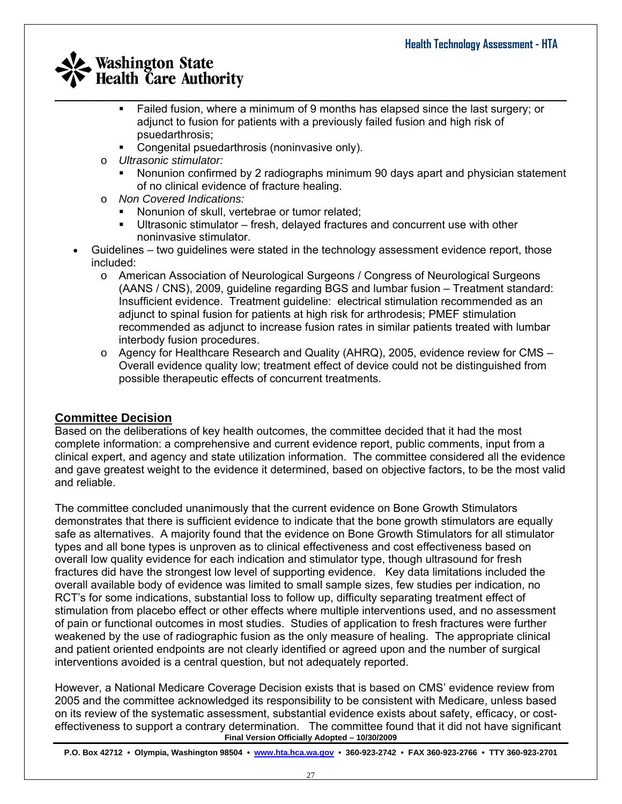- $\_$  , and the set of the set of the set of the set of the set of the set of the set of the set of the set of the set of the set of the set of the set of the set of the set of the set of the set of the set of the set of th Failed fusion, where a minimum of 9 months has elapsed since the last surgery; or adjunct to fusion for patients with a previously failed fusion and high risk of psuedarthrosis;
	- Congenital psuedarthrosis (noninvasive only).
	- o *Ultrasonic stimulator:* 
		- Nonunion confirmed by 2 radiographs minimum 90 days apart and physician statement of no clinical evidence of fracture healing.
	- o *Non Covered Indications:*
		- Nonunion of skull, vertebrae or tumor related;
		- Ultrasonic stimulator fresh, delayed fractures and concurrent use with other noninvasive stimulator.
	- Guidelines two guidelines were stated in the technology assessment evidence report, those included:
		- o American Association of Neurological Surgeons / Congress of Neurological Surgeons (AANS / CNS), 2009, guideline regarding BGS and lumbar fusion – Treatment standard: Insufficient evidence. Treatment guideline: electrical stimulation recommended as an adjunct to spinal fusion for patients at high risk for arthrodesis; PMEF stimulation recommended as adjunct to increase fusion rates in similar patients treated with lumbar interbody fusion procedures.
		- $\circ$  Agency for Healthcare Research and Quality (AHRQ), 2005, evidence review for CMS Overall evidence quality low; treatment effect of device could not be distinguished from possible therapeutic effects of concurrent treatments.

## **Committee Decision**

Based on the deliberations of key health outcomes, the committee decided that it had the most complete information: a comprehensive and current evidence report, public comments, input from a clinical expert, and agency and state utilization information. The committee considered all the evidence and gave greatest weight to the evidence it determined, based on objective factors, to be the most valid and reliable.

The committee concluded unanimously that the current evidence on Bone Growth Stimulators demonstrates that there is sufficient evidence to indicate that the bone growth stimulators are equally safe as alternatives. A majority found that the evidence on Bone Growth Stimulators for all stimulator types and all bone types is unproven as to clinical effectiveness and cost effectiveness based on overall low quality evidence for each indication and stimulator type, though ultrasound for fresh fractures did have the strongest low level of supporting evidence. Key data limitations included the overall available body of evidence was limited to small sample sizes, few studies per indication, no RCT's for some indications, substantial loss to follow up, difficulty separating treatment effect of stimulation from placebo effect or other effects where multiple interventions used, and no assessment of pain or functional outcomes in most studies. Studies of application to fresh fractures were further weakened by the use of radiographic fusion as the only measure of healing. The appropriate clinical and patient oriented endpoints are not clearly identified or agreed upon and the number of surgical interventions avoided is a central question, but not adequately reported.

**Final Version Officially Adopted – 10/30/2009**  However, a National Medicare Coverage Decision exists that is based on CMS' evidence review from 2005 and the committee acknowledged its responsibility to be consistent with Medicare, unless based on its review of the systematic assessment, substantial evidence exists about safety, efficacy, or costeffectiveness to support a contrary determination. The committee found that it did not have significant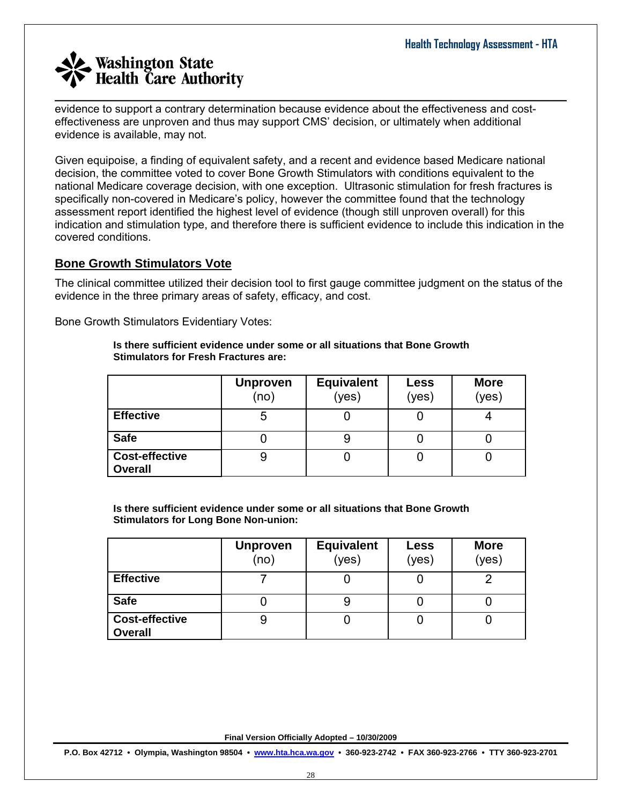evidence to support a contrary determination because evidence about the effectiveness and costeffectiveness are unproven and thus may support CMS' decision, or ultimately when additional evidence is available, may not.

 $\_$  , and the set of the set of the set of the set of the set of the set of the set of the set of the set of the set of the set of the set of the set of the set of the set of the set of the set of the set of the set of th

Given equipoise, a finding of equivalent safety, and a recent and evidence based Medicare national decision, the committee voted to cover Bone Growth Stimulators with conditions equivalent to the national Medicare coverage decision, with one exception. Ultrasonic stimulation for fresh fractures is specifically non-covered in Medicare's policy, however the committee found that the technology assessment report identified the highest level of evidence (though still unproven overall) for this indication and stimulation type, and therefore there is sufficient evidence to include this indication in the covered conditions.

### **Bone Growth Stimulators Vote**

The clinical committee utilized their decision tool to first gauge committee judgment on the status of the evidence in the three primary areas of safety, efficacy, and cost.

Bone Growth Stimulators Evidentiary Votes:

#### **Is there sufficient evidence under some or all situations that Bone Growth Stimulators for Fresh Fractures are:**

|                                         | <b>Unproven</b><br>(no) | <b>Equivalent</b><br>(yes) | Less<br>(yes) | <b>More</b><br>(yes) |
|-----------------------------------------|-------------------------|----------------------------|---------------|----------------------|
| <b>Effective</b>                        | 5                       |                            |               |                      |
| <b>Safe</b>                             |                         | 9                          |               |                      |
| <b>Cost-effective</b><br><b>Overall</b> |                         |                            |               |                      |

**Is there sufficient evidence under some or all situations that Bone Growth Stimulators for Long Bone Non-union:** 

|                                         | <b>Unproven</b><br>(no) | <b>Equivalent</b><br>(yes) | Less<br>(yes) | <b>More</b><br>(yes) |
|-----------------------------------------|-------------------------|----------------------------|---------------|----------------------|
| <b>Effective</b>                        |                         |                            |               | ◠                    |
| <b>Safe</b>                             |                         |                            |               |                      |
| <b>Cost-effective</b><br><b>Overall</b> | 9                       |                            |               |                      |

**Final Version Officially Adopted – 10/30/2009**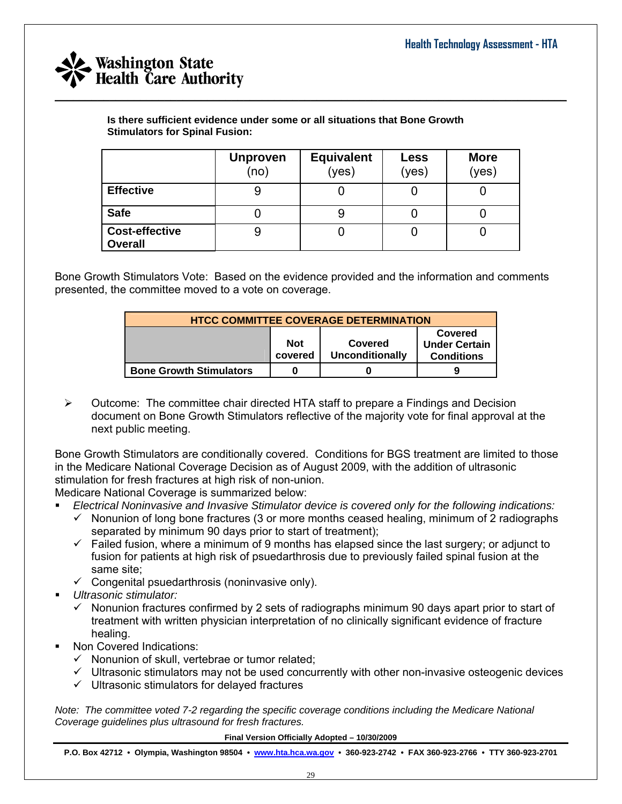

**Is there sufficient evidence under some or all situations that Bone Growth Stimulators for Spinal Fusion:** 

|                                         | <b>Unproven</b><br>(no) | <b>Equivalent</b><br>(yes) | <b>Less</b><br>(yes) | <b>More</b><br>(yes) |
|-----------------------------------------|-------------------------|----------------------------|----------------------|----------------------|
| <b>Effective</b>                        | 9                       |                            |                      |                      |
| <b>Safe</b>                             |                         |                            |                      |                      |
| <b>Cost-effective</b><br><b>Overall</b> | 9                       |                            |                      |                      |

 $\_$  , and the set of the set of the set of the set of the set of the set of the set of the set of the set of the set of the set of the set of the set of the set of the set of the set of the set of the set of the set of th

Bone Growth Stimulators Vote: Based on the evidence provided and the information and comments presented, the committee moved to a vote on coverage.

| <b>HTCC COMMITTEE COVERAGE DETERMINATION</b> |                       |                                   |                                                             |  |  |
|----------------------------------------------|-----------------------|-----------------------------------|-------------------------------------------------------------|--|--|
|                                              | <b>Not</b><br>covered | Covered<br><b>Unconditionally</b> | <b>Covered</b><br><b>Under Certain</b><br><b>Conditions</b> |  |  |
| <b>Bone Growth Stimulators</b>               |                       |                                   | g                                                           |  |  |

 $\triangleright$  Outcome: The committee chair directed HTA staff to prepare a Findings and Decision document on Bone Growth Stimulators reflective of the majority vote for final approval at the next public meeting.

Bone Growth Stimulators are conditionally covered. Conditions for BGS treatment are limited to those in the Medicare National Coverage Decision as of August 2009, with the addition of ultrasonic stimulation for fresh fractures at high risk of non-union.

Medicare National Coverage is summarized below:

- *Electrical Noninvasive and Invasive Stimulator device is covered only for the following indications:*
	- $\checkmark$  Nonunion of long bone fractures (3 or more months ceased healing, minimum of 2 radiographs separated by minimum 90 days prior to start of treatment);
	- $\checkmark$  Failed fusion, where a minimum of 9 months has elapsed since the last surgery; or adjunct to fusion for patients at high risk of psuedarthrosis due to previously failed spinal fusion at the same site;
	- $\checkmark$  Congenital psuedarthrosis (noninvasive only).
- *Ultrasonic stimulator:*
	- $\checkmark$  Nonunion fractures confirmed by 2 sets of radiographs minimum 90 days apart prior to start of treatment with written physician interpretation of no clinically significant evidence of fracture healing.
- Non Covered Indications:
	- $\checkmark$  Nonunion of skull, vertebrae or tumor related;
	- $\checkmark$  Ultrasonic stimulators may not be used concurrently with other non-invasive osteogenic devices
	- $\checkmark$  Ultrasonic stimulators for delayed fractures

*Note: The committee voted 7-2 regarding the specific coverage conditions including the Medicare National Coverage guidelines plus ultrasound for fresh fractures.* 

**Final Version Officially Adopted – 10/30/2009**